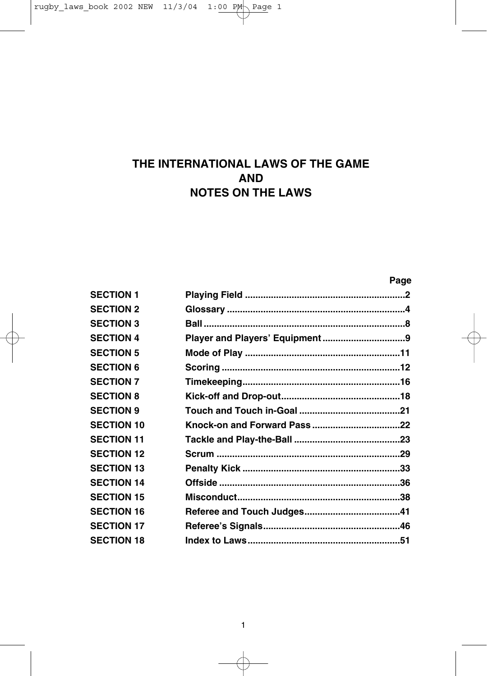$\lvert$ rugby\_laws\_book 2002 NEW 11/3/04 1:00 PM Page 1

## **THE INTERNATIONAL LAWS OF THE GAME AND NOTES ON THE LAWS**

### **Page**

| <b>SECTION 1</b>  |  |
|-------------------|--|
| <b>SECTION 2</b>  |  |
| <b>SECTION 3</b>  |  |
| <b>SECTION 4</b>  |  |
| <b>SECTION 5</b>  |  |
| <b>SECTION 6</b>  |  |
| <b>SECTION 7</b>  |  |
| <b>SECTION 8</b>  |  |
| <b>SECTION 9</b>  |  |
| <b>SECTION 10</b> |  |
| <b>SECTION 11</b> |  |
| <b>SECTION 12</b> |  |
| <b>SECTION 13</b> |  |
| <b>SECTION 14</b> |  |
| <b>SECTION 15</b> |  |
| <b>SECTION 16</b> |  |
| <b>SECTION 17</b> |  |
| <b>SECTION 18</b> |  |

1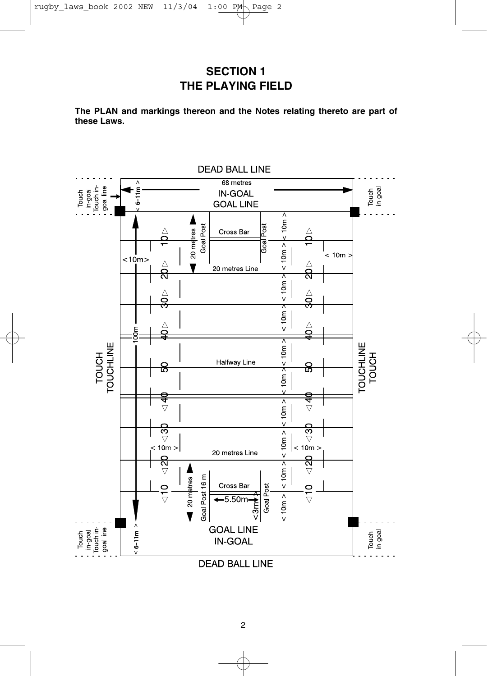### **SECTION 1 THE PLAYING FIELD**

**The PLAN and markings thereon and the Notes relating thereto are part of these Laws.**



2

€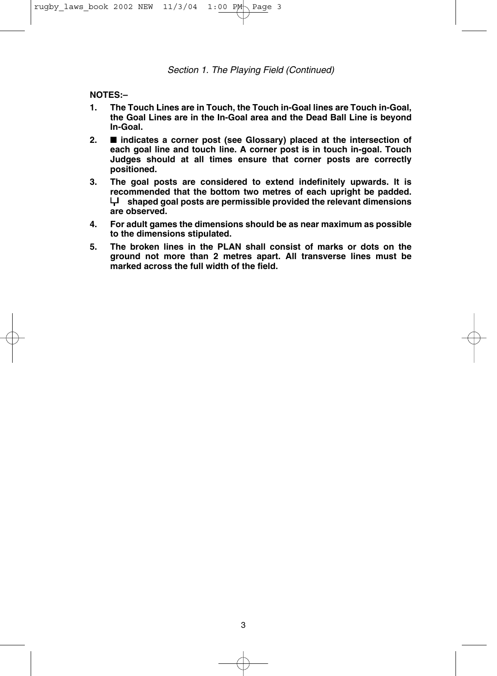*Section 1. The Playing Field (Continued)*

**NOTES:–**

- **1. The Touch Lines are in Touch, the Touch in-Goal lines are Touch in-Goal, the Goal Lines are in the In-Goal area and the Dead Ball Line is beyond In-Goal.**
- **2. indicates a corner post (see Glossary) placed at the intersection of each goal line and touch line. A corner post is in touch in-goal. Touch Judges should at all times ensure that corner posts are correctly positioned.**
- **3. The goal posts are considered to extend indefinitely upwards. It is recommended that the bottom two metres of each upright be padded. shaped goal posts are permissible provided the relevant dimensions are observed.**
- **4. For adult games the dimensions should be as near maximum as possible to the dimensions stipulated.**
- **5. The broken lines in the PLAN shall consist of marks or dots on the ground not more than 2 metres apart. All transverse lines must be marked across the full width of the field.**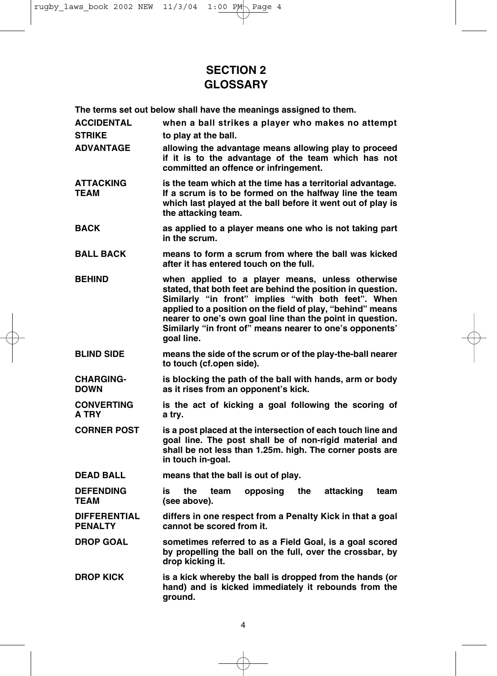### **SECTION 2 GLOSSARY**

**The terms set out below shall have the meanings assigned to them.**

**ACCIDENTAL when a ball strikes a player who makes no attempt STRIKE** to play at the ball.

- **ADVANTAGE allowing the advantage means allowing play to proceed if it is to the advantage of the team which has not committed an offence or infringement.**
- **ATTACKING is the team which at the time has a territorial advantage. TEAM If a scrum is to be formed on the halfway line the team which last played at the ball before it went out of play is the attacking team.**
- **BACK as applied to a player means one who is not taking part in the scrum.**
- **BALL BACK means to form a scrum from where the ball was kicked after it has entered touch on the full.**
- **BEHIND when applied to a player means, unless otherwise stated, that both feet are behind the position in question. Similarly "in front" implies "with both feet". When applied to a position on the field of play, "behind" means nearer to one's own goal line than the point in question. Similarly "in front of" means nearer to one's opponents' goal line.**
- **BLIND SIDE means the side of the scrum or of the play-the-ball nearer to touch (cf.open side).**
- **CHARGING- is blocking the path of the ball with hands, arm or body** as it rises from an opponent's kick.
- **CONVERTING is the act of kicking a goal following the scoring of A TRY a try.**
- **CORNER POST is a post placed at the intersection of each touch line and goal line. The post shall be of non-rigid material and shall be not less than 1.25m. high. The corner posts are in touch in-goal.**
- **DEAD BALL means that the ball is out of play.**
- **DEFENDING is the team opposing the attacking team TEAM (see above).**
- **DIFFERENTIAL differs in one respect from a Penalty Kick in that a goal** cannot be scored from it.
- **DROP GOAL sometimes referred to as a Field Goal, is a goal scored by propelling the ball on the full, over the crossbar, by drop kicking it.**
- **DROP KICK** is a kick whereby the ball is dropped from the hands (or **hand) and is kicked immediately it rebounds from the ground.**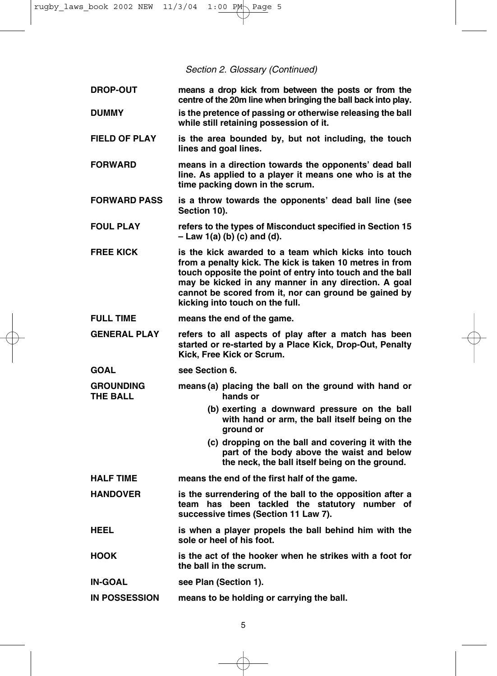rugby laws book 2002 NEW  $11/3/04$  1:00 PM Page

*Section 2. Glossary (Continued)*

- **DROP-OUT means a drop kick from between the posts or from the centre of the 20m line when bringing the ball back into play.**
- **DUMMY is the pretence of passing or otherwise releasing the ball while still retaining possession of it.**
- **FIELD OF PLAY is the area bounded by, but not including, the touch lines and goal lines.**
- **FORWARD means in a direction towards the opponents' dead ball line. As applied to a player it means one who is at the time packing down in the scrum.**
- **FORWARD PASS is a throw towards the opponents' dead ball line (see Section 10).**
- **FOUL PLAY refers to the types of Misconduct specified in Section 15 – Law 1(a) (b) (c) and (d).**
- **FREE KICK is the kick awarded to a team which kicks into touch from a penalty kick. The kick is taken 10 metres in from touch opposite the point of entry into touch and the ball may be kicked in any manner in any direction. A goal cannot be scored from it, nor can ground be gained by kicking into touch on the full.**
- **FULL TIME means the end of the game.**
- **GENERAL PLAY refers to all aspects of play after a match has been started or re-started by a Place Kick, Drop-Out, Penalty Kick, Free Kick or Scrum.**
- GOAL see Section 6.
- **GROUNDING means (a) placing the ball on the ground with hand or THE BALL hands or** 
	- **(b) exerting a downward pressure on the ball with hand or arm, the ball itself being on the ground or**
	- **(c) dropping on the ball and covering it with the part of the body above the waist and below the neck, the ball itself being on the ground.**
- **HALF TIME means the end of the first half of the game.**
- **HANDOVER is the surrendering of the ball to the opposition after a team has been tackled the statutory number of successive times (Section 11 Law 7).**
- **HEEL is when a player propels the ball behind him with the sole or heel of his foot.**
- **HOOK is the act of the hooker when he strikes with a foot for the ball in the scrum.**
- **IN-GOAL see Plan (Section 1).**
- **IN POSSESSION means to be holding or carrying the ball.**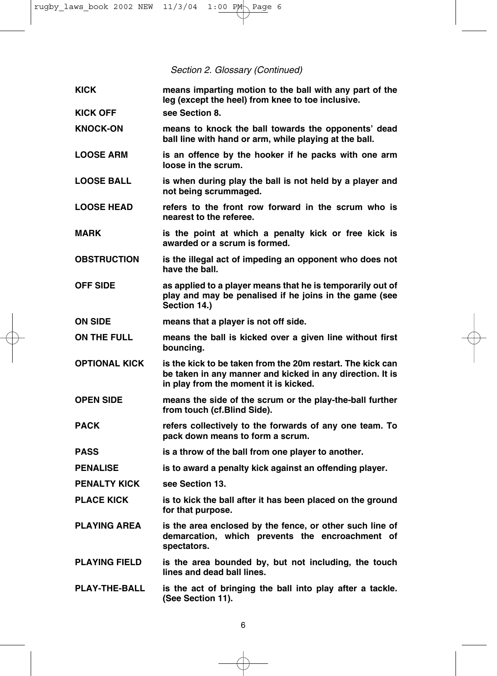*Section 2. Glossary (Continued)*

| <b>KICK</b>          | means imparting motion to the ball with any part of the<br>leg (except the heel) from knee to toe inclusive.                                                     |  |
|----------------------|------------------------------------------------------------------------------------------------------------------------------------------------------------------|--|
| <b>KICK OFF</b>      | see Section 8.                                                                                                                                                   |  |
| <b>KNOCK-ON</b>      | means to knock the ball towards the opponents' dead<br>ball line with hand or arm, while playing at the ball.                                                    |  |
| <b>LOOSE ARM</b>     | is an offence by the hooker if he packs with one arm<br>loose in the scrum.                                                                                      |  |
| <b>LOOSE BALL</b>    | is when during play the ball is not held by a player and<br>not being scrummaged.                                                                                |  |
| <b>LOOSE HEAD</b>    | refers to the front row forward in the scrum who is<br>nearest to the referee.                                                                                   |  |
| <b>MARK</b>          | is the point at which a penalty kick or free kick is<br>awarded or a scrum is formed.                                                                            |  |
| <b>OBSTRUCTION</b>   | is the illegal act of impeding an opponent who does not<br>have the ball.                                                                                        |  |
| <b>OFF SIDE</b>      | as applied to a player means that he is temporarily out of<br>play and may be penalised if he joins in the game (see<br>Section 14.)                             |  |
| <b>ON SIDE</b>       | means that a player is not off side.                                                                                                                             |  |
| ON THE FULL          | means the ball is kicked over a given line without first<br>bouncing.                                                                                            |  |
| <b>OPTIONAL KICK</b> | is the kick to be taken from the 20m restart. The kick can<br>be taken in any manner and kicked in any direction. It is<br>in play from the moment it is kicked. |  |
| <b>OPEN SIDE</b>     | means the side of the scrum or the play-the-ball further<br>from touch (cf.Blind Side).                                                                          |  |
| <b>PACK</b>          | refers collectively to the forwards of any one team. To<br>pack down means to form a scrum.                                                                      |  |
| <b>PASS</b>          | is a throw of the ball from one player to another.                                                                                                               |  |
| <b>PENALISE</b>      | is to award a penalty kick against an offending player.                                                                                                          |  |
| <b>PENALTY KICK</b>  | see Section 13.                                                                                                                                                  |  |
| <b>PLACE KICK</b>    | is to kick the ball after it has been placed on the ground<br>for that purpose.                                                                                  |  |
| <b>PLAYING AREA</b>  | is the area enclosed by the fence, or other such line of<br>demarcation, which prevents the encroachment of<br>spectators.                                       |  |
| <b>PLAYING FIELD</b> | is the area bounded by, but not including, the touch<br>lines and dead ball lines.                                                                               |  |
| <b>PLAY-THE-BALL</b> | is the act of bringing the ball into play after a tackle.<br>(See Section 11).                                                                                   |  |

₹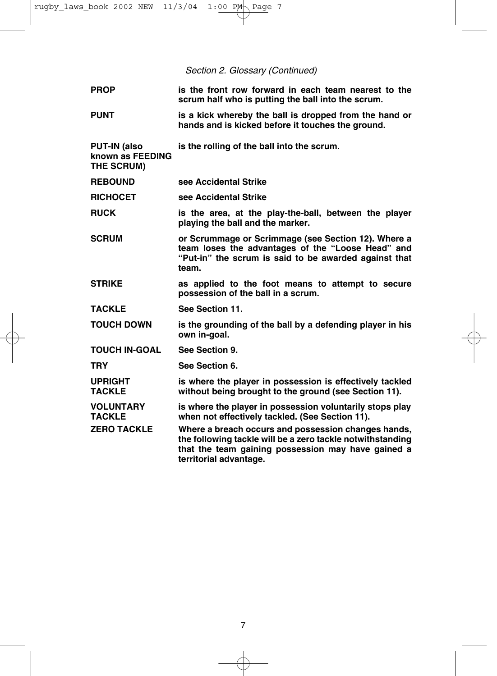*Section 2. Glossary (Continued)*

| <b>PROP</b>                                                  | is the front row forward in each team nearest to the<br>scrum half who is putting the ball into the scrum.                                                                 |  |
|--------------------------------------------------------------|----------------------------------------------------------------------------------------------------------------------------------------------------------------------------|--|
| <b>PUNT</b>                                                  | is a kick whereby the ball is dropped from the hand or<br>hands and is kicked before it touches the ground.                                                                |  |
| <b>PUT-IN (also</b><br>known as FEEDING<br><b>THE SCRUM)</b> | is the rolling of the ball into the scrum.                                                                                                                                 |  |
| <b>REBOUND</b>                                               | see Accidental Strike                                                                                                                                                      |  |
| <b>RICHOCET</b>                                              | see Accidental Strike                                                                                                                                                      |  |
| <b>RUCK</b>                                                  | is the area, at the play-the-ball, between the player<br>playing the ball and the marker.                                                                                  |  |
| <b>SCRUM</b>                                                 | or Scrummage or Scrimmage (see Section 12). Where a<br>team loses the advantages of the "Loose Head" and<br>"Put-in" the scrum is said to be awarded against that<br>team. |  |
| <b>STRIKE</b>                                                | as applied to the foot means to attempt to secure<br>possession of the ball in a scrum.                                                                                    |  |
| <b>TACKLE</b>                                                | See Section 11.                                                                                                                                                            |  |
| <b>TOUCH DOWN</b>                                            | is the grounding of the ball by a defending player in his<br>own in-goal.                                                                                                  |  |
| <b>TOUCH IN-GOAL</b>                                         | See Section 9.                                                                                                                                                             |  |
| <b>TRY</b>                                                   | See Section 6.                                                                                                                                                             |  |
| <b>UPRIGHT</b><br><b>TACKLE</b>                              | is where the player in possession is effectively tackled<br>without being brought to the ground (see Section 11).                                                          |  |
| <b>VOLUNTARY</b><br><b>TACKLE</b>                            | is where the player in possession voluntarily stops play<br>when not effectively tackled. (See Section 11).                                                                |  |
| <b>ZERO TACKLE</b>                                           | Where a breach occurs and possession changes hands,<br>the following tackle will be a zero tackle notwithstanding<br>that the team gaining possession may have gained a    |  |

7

**territorial advantage.**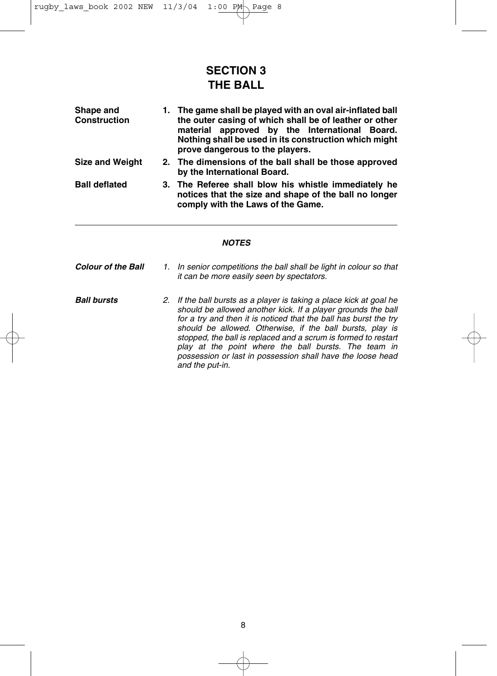### **SECTION 3 THE BALL**

| Shape and<br><b>Construction</b> | 1. The game shall be played with an oval air-inflated ball<br>the outer casing of which shall be of leather or other<br>material approved by the International Board.<br>Nothing shall be used in its construction which might<br>prove dangerous to the players. |
|----------------------------------|-------------------------------------------------------------------------------------------------------------------------------------------------------------------------------------------------------------------------------------------------------------------|
| <b>Size and Weight</b>           | 2. The dimensions of the ball shall be those approved<br>by the International Board.                                                                                                                                                                              |
| <b>Ball deflated</b>             | 3. The Referee shall blow his whistle immediately he<br>notices that the size and shape of the ball no longer<br>comply with the Laws of the Game.                                                                                                                |

### *NOTES*

| <b>Colour of the Ball</b> | 1. In senior competitions the ball shall be light in colour so that<br>it can be more easily seen by spectators.                                                                                                                                                                                                                                                                                                                                                                |
|---------------------------|---------------------------------------------------------------------------------------------------------------------------------------------------------------------------------------------------------------------------------------------------------------------------------------------------------------------------------------------------------------------------------------------------------------------------------------------------------------------------------|
| <b>Ball bursts</b>        | 2. If the ball bursts as a player is taking a place kick at goal he<br>should be allowed another kick. If a player grounds the ball<br>for a try and then it is noticed that the ball has burst the try<br>should be allowed. Otherwise, if the ball bursts, play is<br>stopped, the ball is replaced and a scrum is formed to restart<br>play at the point where the ball bursts. The team in<br>possession or last in possession shall have the loose head<br>and the put-in. |

8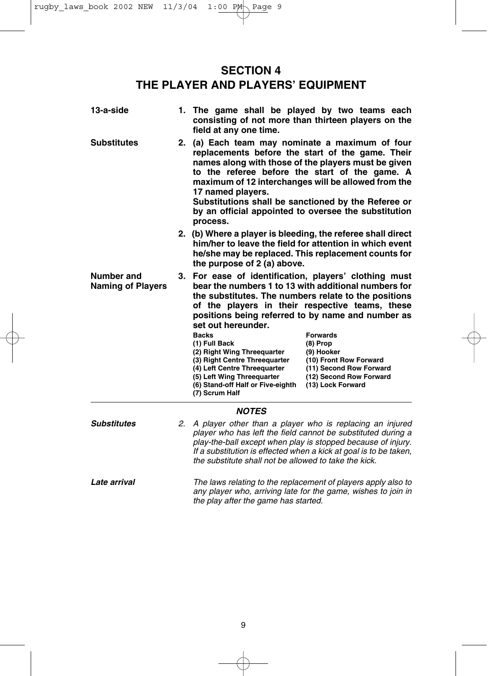# **SECTION 4 THE PLAYER AND PLAYERS' EQUIPMENT**

| 13-a-side                              | 1. The game shall be played by two teams each<br>consisting of not more than thirteen players on the<br>field at any one time.                                                                                                                                                                                                                                                                                      |                                                                                                                                                  |  |  |  |
|----------------------------------------|---------------------------------------------------------------------------------------------------------------------------------------------------------------------------------------------------------------------------------------------------------------------------------------------------------------------------------------------------------------------------------------------------------------------|--------------------------------------------------------------------------------------------------------------------------------------------------|--|--|--|
| <b>Substitutes</b>                     | 2. (a) Each team may nominate a maximum of four<br>replacements before the start of the game. Their<br>names along with those of the players must be given<br>to the referee before the start of the game. A<br>maximum of 12 interchanges will be allowed from the<br>17 named players.<br>Substitutions shall be sanctioned by the Referee or<br>by an official appointed to oversee the substitution<br>process. |                                                                                                                                                  |  |  |  |
|                                        | 2. (b) Where a player is bleeding, the referee shall direct<br>him/her to leave the field for attention in which event<br>he/she may be replaced. This replacement counts for<br>the purpose of 2 (a) above.                                                                                                                                                                                                        |                                                                                                                                                  |  |  |  |
| Number and<br><b>Naming of Players</b> | 3. For ease of identification, players' clothing must<br>bear the numbers 1 to 13 with additional numbers for<br>the substitutes. The numbers relate to the positions<br>of the players in their respective teams, these<br>positions being referred to by name and number as<br>set out hereunder.                                                                                                                 |                                                                                                                                                  |  |  |  |
|                                        | <b>Backs</b><br>(1) Full Back<br>(2) Right Wing Threequarter<br>(3) Right Centre Threequarter<br>(4) Left Centre Threequarter<br>(5) Left Wing Threequarter<br>(6) Stand-off Half or Five-eighth<br>(7) Scrum Half                                                                                                                                                                                                  | <b>Forwards</b><br>$(8)$ Prop<br>(9) Hooker<br>(10) Front Row Forward<br>(11) Second Row Forward<br>(12) Second Row Forward<br>(13) Lock Forward |  |  |  |
|                                        | <b>NOTES</b>                                                                                                                                                                                                                                                                                                                                                                                                        |                                                                                                                                                  |  |  |  |
| <b>Substitutes</b>                     | 2. A player other than a player who is replacing an injured<br>player who has left the field cannot be substituted during a<br>play-the-ball except when play is stopped because of injury.<br>If a substitution is effected when a kick at goal is to be taken,<br>the substitute shall not be allowed to take the kick.                                                                                           |                                                                                                                                                  |  |  |  |
| Late arrival                           | The laws relating to the replacement of players apply also to<br>any player who, arriving late for the game, wishes to join in<br>the play after the game has started.                                                                                                                                                                                                                                              |                                                                                                                                                  |  |  |  |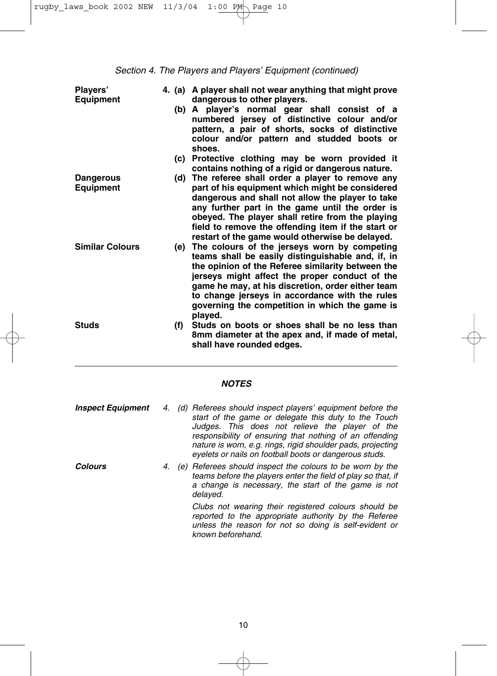| Players'<br><b>Equipment</b>         |     | 4. (a) A player shall not wear anything that might prove<br>dangerous to other players.                                                                                                                                                                                                                                                                                      |
|--------------------------------------|-----|------------------------------------------------------------------------------------------------------------------------------------------------------------------------------------------------------------------------------------------------------------------------------------------------------------------------------------------------------------------------------|
|                                      | (b) | A player's normal gear shall consist of a<br>numbered jersey of distinctive colour and/or<br>pattern, a pair of shorts, socks of distinctive<br>colour and/or pattern and studded boots or<br>shoes.                                                                                                                                                                         |
|                                      | (c) | Protective clothing may be worn provided it<br>contains nothing of a rigid or dangerous nature.                                                                                                                                                                                                                                                                              |
| <b>Dangerous</b><br><b>Equipment</b> | (d) | The referee shall order a player to remove any<br>part of his equipment which might be considered<br>dangerous and shall not allow the player to take<br>any further part in the game until the order is<br>obeyed. The player shall retire from the playing<br>field to remove the offending item if the start or<br>restart of the game would otherwise be delayed.        |
| <b>Similar Colours</b>               | (e) | The colours of the jerseys worn by competing<br>teams shall be easily distinguishable and, if, in<br>the opinion of the Referee similarity between the<br>jerseys might affect the proper conduct of the<br>game he may, at his discretion, order either team<br>to change jerseys in accordance with the rules<br>governing the competition in which the game is<br>played. |
| <b>Studs</b>                         | (f) | Studs on boots or shoes shall be no less than<br>8mm diameter at the apex and, if made of metal,<br>shall have rounded edges.                                                                                                                                                                                                                                                |

*Section 4. The Players and Players' Equipment (continued)*

| <b>Inspect Equipment</b> | 4. | (d) Referees should inspect players' equipment before the<br>start of the game or delegate this duty to the Touch<br>Judges. This does not relieve the player of the<br>responsibility of ensuring that nothing of an offending<br>nature is worn, e.g. rings, rigid shoulder pads, projecting<br>eyelets or nails on football boots or dangerous studs. |
|--------------------------|----|----------------------------------------------------------------------------------------------------------------------------------------------------------------------------------------------------------------------------------------------------------------------------------------------------------------------------------------------------------|
| <b>Colours</b>           | 4. | (e) Referees should inspect the colours to be worn by the<br>teams before the players enter the field of play so that, if<br>a change is necessary, the start of the game is not<br>delayed.                                                                                                                                                             |
|                          |    | Clubs not wearing their registered colours should be<br>reported to the appropriate authority by the Referee<br>unless the reason for not so doing is self-evident or<br>known beforehand.                                                                                                                                                               |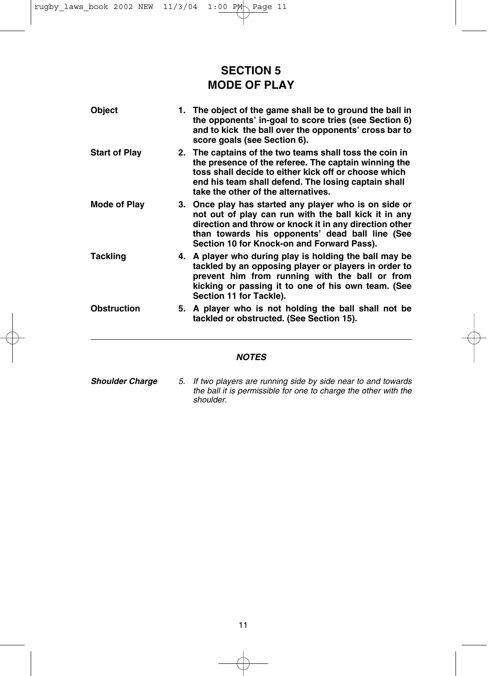rugby\_laws\_book 2002 NEW 11/3/04 1:00 PM Page 11

## **SECTION 5 MODE OF PLAY**

| <b>Object</b>        | 1. The object of the game shall be to ground the ball in<br>the opponents' in-goal to score tries (see Section 6)<br>and to kick the ball over the opponents' cross bar to<br>score goals (see Section 6).                                                               |
|----------------------|--------------------------------------------------------------------------------------------------------------------------------------------------------------------------------------------------------------------------------------------------------------------------|
| <b>Start of Play</b> | 2. The captains of the two teams shall toss the coin in<br>the presence of the referee. The captain winning the<br>toss shall decide to either kick off or choose which<br>end his team shall defend. The losing captain shall<br>take the other of the alternatives.    |
| Mode of Play         | 3. Once play has started any player who is on side or<br>not out of play can run with the ball kick it in any<br>direction and throw or knock it in any direction other<br>than towards his opponents' dead ball line (See<br>Section 10 for Knock-on and Forward Pass). |
| Tackling             | 4. A player who during play is holding the ball may be<br>tackled by an opposing player or players in order to<br>prevent him from running with the ball or from<br>kicking or passing it to one of his own team. (See<br>Section 11 for Tackle).                        |
| <b>Obstruction</b>   | 5. A player who is not holding the ball shall not be<br>tackled or obstructed. (See Section 15).                                                                                                                                                                         |
|                      | <i><b>NOTES</b></i>                                                                                                                                                                                                                                                      |

*Shoulder Charge 5. If two players are running side by side near to and towards the ball it is permissible for one to charge the other with the shoulder.*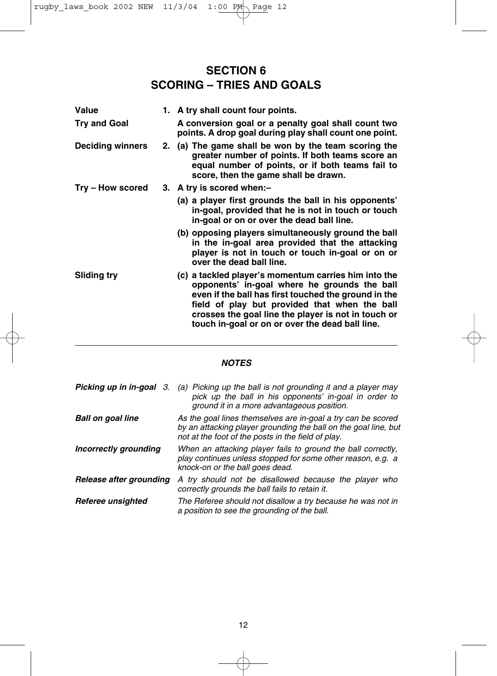### **SECTION 6 SCORING – TRIES AND GOALS**

| Value                   | 1. A try shall count four points.                                                                                                                                                                                                                                                                                       |
|-------------------------|-------------------------------------------------------------------------------------------------------------------------------------------------------------------------------------------------------------------------------------------------------------------------------------------------------------------------|
| <b>Try and Goal</b>     | A conversion goal or a penalty goal shall count two<br>points. A drop goal during play shall count one point.                                                                                                                                                                                                           |
| <b>Deciding winners</b> | 2. (a) The game shall be won by the team scoring the<br>greater number of points. If both teams score an<br>equal number of points, or if both teams fail to<br>score, then the game shall be drawn.                                                                                                                    |
| Try - How scored        | 3. A try is scored when:-                                                                                                                                                                                                                                                                                               |
|                         | (a) a player first grounds the ball in his opponents'<br>in-goal, provided that he is not in touch or touch<br>in-goal or on or over the dead ball line.                                                                                                                                                                |
|                         | (b) opposing players simultaneously ground the ball<br>in the in-goal area provided that the attacking<br>player is not in touch or touch in-goal or on or<br>over the dead ball line.                                                                                                                                  |
| <b>Sliding try</b>      | (c) a tackled player's momentum carries him into the<br>opponents' in-goal where he grounds the ball<br>even if the ball has first touched the ground in the<br>field of play but provided that when the ball<br>crosses the goal line the player is not in touch or<br>touch in-goal or on or over the dead ball line. |

| Picking up in in-goal 3. | (a) Picking up the ball is not grounding it and a player may<br>pick up the ball in his opponents' in-goal in order to<br>ground it in a more advantageous position.                  |
|--------------------------|---------------------------------------------------------------------------------------------------------------------------------------------------------------------------------------|
| <b>Ball on goal line</b> | As the goal lines themselves are in-goal a try can be scored<br>by an attacking player grounding the ball on the goal line, but<br>not at the foot of the posts in the field of play. |
| Incorrectly grounding    | When an attacking player fails to ground the ball correctly,<br>play continues unless stopped for some other reason, e.g. a<br>knock-on or the ball goes dead.                        |
| Release after grounding  | A try should not be disallowed because the player who<br>correctly grounds the ball fails to retain it.                                                                               |
| Referee unsighted        | The Referee should not disallow a try because he was not in<br>a position to see the grounding of the ball.                                                                           |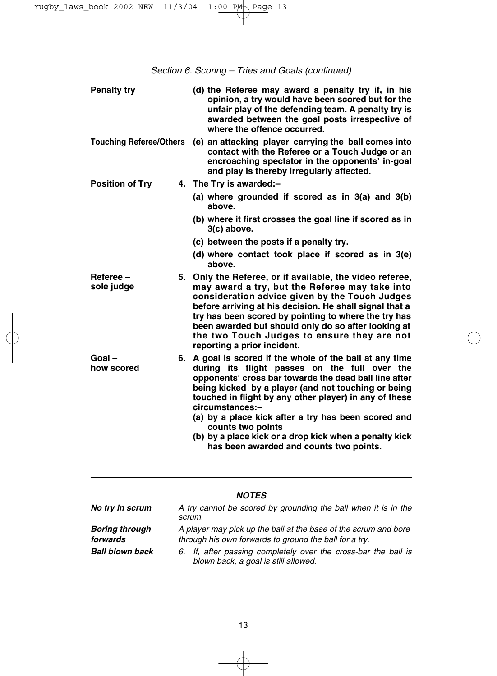| Section 6. Scoring - Tries and Goals (continued) |  |  |
|--------------------------------------------------|--|--|

| <b>Penalty try</b>             | (d) the Referee may award a penalty try if, in his<br>opinion, a try would have been scored but for the<br>unfair play of the defending team. A penalty try is<br>awarded between the goal posts irrespective of<br>where the offence occurred.                                                                                                                                                                                                                                         |
|--------------------------------|-----------------------------------------------------------------------------------------------------------------------------------------------------------------------------------------------------------------------------------------------------------------------------------------------------------------------------------------------------------------------------------------------------------------------------------------------------------------------------------------|
| <b>Touching Referee/Others</b> | (e) an attacking player carrying the ball comes into<br>contact with the Referee or a Touch Judge or an<br>encroaching spectator in the opponents' in-goal<br>and play is thereby irregularly affected.                                                                                                                                                                                                                                                                                 |
| <b>Position of Try</b>         | 4. The Try is awarded:-                                                                                                                                                                                                                                                                                                                                                                                                                                                                 |
|                                | (a) where grounded if scored as in $3(a)$ and $3(b)$<br>above.                                                                                                                                                                                                                                                                                                                                                                                                                          |
|                                | (b) where it first crosses the goal line if scored as in<br>3(c) above.                                                                                                                                                                                                                                                                                                                                                                                                                 |
|                                | (c) between the posts if a penalty try.                                                                                                                                                                                                                                                                                                                                                                                                                                                 |
|                                | (d) where contact took place if scored as in 3(e)<br>above.                                                                                                                                                                                                                                                                                                                                                                                                                             |
| Referee -<br>sole judge        | 5. Only the Referee, or if available, the video referee,<br>may award a try, but the Referee may take into<br>consideration advice given by the Touch Judges<br>before arriving at his decision. He shall signal that a<br>try has been scored by pointing to where the try has<br>been awarded but should only do so after looking at<br>the two Touch Judges to ensure they are not<br>reporting a prior incident.                                                                    |
| Goal-<br>how scored            | 6. A goal is scored if the whole of the ball at any time<br>during its flight passes on the full over the<br>opponents' cross bar towards the dead ball line after<br>being kicked by a player (and not touching or being<br>touched in flight by any other player) in any of these<br>circumstances:-<br>(a) by a place kick after a try has been scored and<br>counts two points<br>(b) by a place kick or a drop kick when a penalty kick<br>has been awarded and counts two points. |

| <b>NOTES</b>                      |                                                                                                                           |  |  |
|-----------------------------------|---------------------------------------------------------------------------------------------------------------------------|--|--|
| No try in scrum                   | A try cannot be scored by grounding the ball when it is in the<br>scrum.                                                  |  |  |
| <b>Boring through</b><br>forwards | A player may pick up the ball at the base of the scrum and bore<br>through his own forwards to ground the ball for a try. |  |  |
| <b>Ball blown back</b>            | 6. If, after passing completely over the cross-bar the ball is<br>blown back, a goal is still allowed.                    |  |  |

┭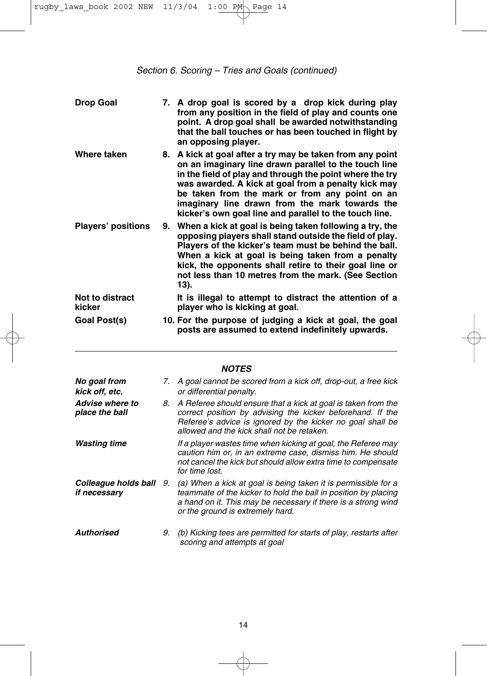### *Section 6. Scoring – Tries and Goals (continued)*

| <b>Drop Goal</b>          | 7. A drop goal is scored by a drop kick during play<br>from any position in the field of play and counts one<br>point. A drop goal shall be awarded notwithstanding<br>that the ball touches or has been touched in flight by<br>an opposing player.                                                                                                                                                |
|---------------------------|-----------------------------------------------------------------------------------------------------------------------------------------------------------------------------------------------------------------------------------------------------------------------------------------------------------------------------------------------------------------------------------------------------|
| Where taken               | 8. A kick at goal after a try may be taken from any point<br>on an imaginary line drawn parallel to the touch line<br>in the field of play and through the point where the try<br>was awarded. A kick at goal from a penalty kick may<br>be taken from the mark or from any point on an<br>imaginary line drawn from the mark towards the<br>kicker's own goal line and parallel to the touch line. |
| <b>Players' positions</b> | 9. When a kick at goal is being taken following a try, the<br>opposing players shall stand outside the field of play.<br>Players of the kicker's team must be behind the ball.<br>When a kick at goal is being taken from a penalty<br>kick, the opponents shall retire to their goal line or<br>not less than 10 metres from the mark. (See Section<br>13).                                        |
| Not to distract<br>kicker | It is illegal to attempt to distract the attention of a<br>player who is kicking at goal.                                                                                                                                                                                                                                                                                                           |
| Goal Post(s)              | 10. For the purpose of judging a kick at goal, the goal<br>posts are assumed to extend indefinitely upwards.                                                                                                                                                                                                                                                                                        |

| No goal from<br>kick off, etc.                 |    | 7. A goal cannot be scored from a kick off, drop-out, a free kick<br>or differential penalty.                                                                                                                                              |
|------------------------------------------------|----|--------------------------------------------------------------------------------------------------------------------------------------------------------------------------------------------------------------------------------------------|
| Advise where to<br>place the ball              |    | 8. A Referee should ensure that a kick at goal is taken from the<br>correct position by advising the kicker beforehand. If the<br>Referee's advice is ignored by the kicker no goal shall be<br>allowed and the kick shall not be retaken. |
| <b>Wasting time</b>                            |    | If a player wastes time when kicking at goal, the Referee may<br>caution him or, in an extreme case, dismiss him. He should<br>not cancel the kick but should allow extra time to compensate<br>for time lost.                             |
| <b>Colleague holds ball</b> 9.<br>if necessary |    | (a) When a kick at goal is being taken it is permissible for a<br>teammate of the kicker to hold the ball in position by placing<br>a hand on it. This may be necessary if there is a strong wind<br>or the ground is extremely hard.      |
| <b>Authorised</b>                              | 9. | (b) Kicking tees are permitted for starts of play, restarts after<br>scoring and attempts at goal                                                                                                                                          |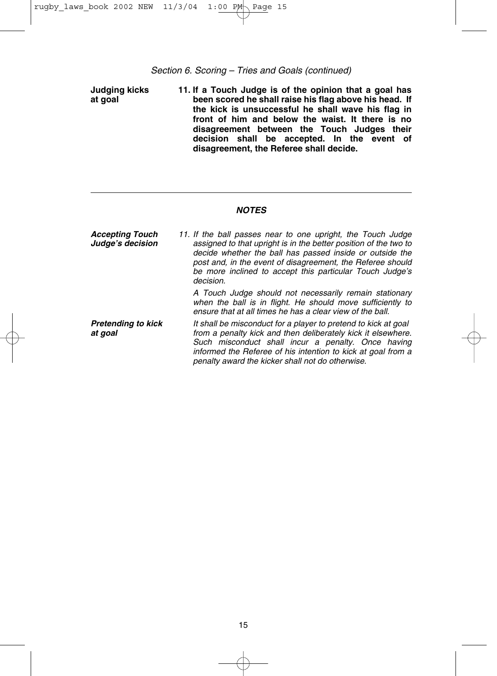#### *Section 6. Scoring – Tries and Goals (continued)*

**Judging kicks 11. If a Touch Judge is of the opinion that a goal has**  been scored he shall raise his flag above his head. If **the kick is unsuccessful he shall wave his flag in ......front of him and below the waist. It there is no disagreement between the Touch Judges their decision shall be accepted. In the event of disagreement, the Referee shall decide.**

| <b>Accepting Touch</b><br>Judge's decision | 11. If the ball passes near to one upright, the Touch Judge<br>assigned to that upright is in the better position of the two to<br>decide whether the ball has passed inside or outside the<br>post and, in the event of disagreement, the Referee should<br>be more inclined to accept this particular Touch Judge's<br>decision. |
|--------------------------------------------|------------------------------------------------------------------------------------------------------------------------------------------------------------------------------------------------------------------------------------------------------------------------------------------------------------------------------------|
|                                            | A Touch Judge should not necessarily remain stationary<br>when the ball is in flight. He should move sufficiently to<br>ensure that at all times he has a clear view of the ball.                                                                                                                                                  |
| <b>Pretending to kick</b><br>at goal       | It shall be misconduct for a player to pretend to kick at goal<br>from a penalty kick and then deliberately kick it elsewhere.<br>Such misconduct shall incur a penalty. Once having<br>informed the Referee of his intention to kick at goal from a<br>penalty award the kicker shall not do otherwise.                           |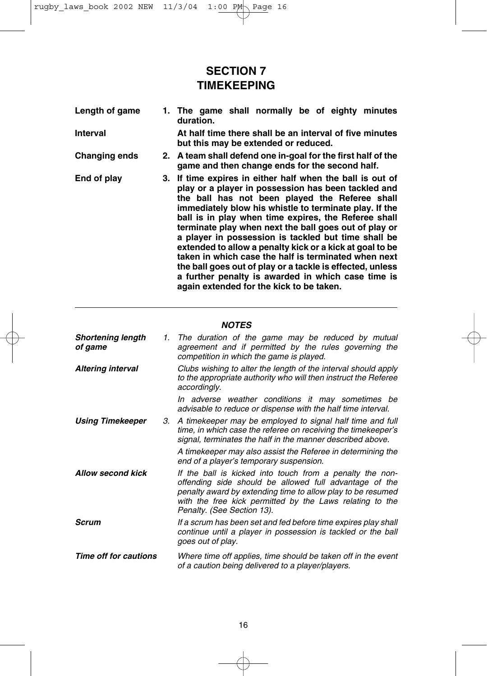# **SECTION 7 TIMEKEEPING**

| Length of game | 1. The game shall normally be of eighty minutes<br>duration.                                                                                                                                                                                                                                                                                                                                                                                                                                                                                                                                                                                                                            |
|----------------|-----------------------------------------------------------------------------------------------------------------------------------------------------------------------------------------------------------------------------------------------------------------------------------------------------------------------------------------------------------------------------------------------------------------------------------------------------------------------------------------------------------------------------------------------------------------------------------------------------------------------------------------------------------------------------------------|
| Interval       | At half time there shall be an interval of five minutes<br>but this may be extended or reduced.                                                                                                                                                                                                                                                                                                                                                                                                                                                                                                                                                                                         |
| Changing ends  | 2. A team shall defend one in-goal for the first half of the<br>game and then change ends for the second half.                                                                                                                                                                                                                                                                                                                                                                                                                                                                                                                                                                          |
| End of play    | 3. If time expires in either half when the ball is out of<br>play or a player in possession has been tackled and<br>the ball has not been played the Referee shall<br>immediately blow his whistle to terminate play. If the<br>ball is in play when time expires, the Referee shall<br>terminate play when next the ball goes out of play or<br>a player in possession is tackled but time shall be<br>extended to allow a penalty kick or a kick at goal to be<br>taken in which case the half is terminated when next<br>the ball goes out of play or a tackle is effected, unless<br>a further penalty is awarded in which case time is<br>again extended for the kick to be taken. |

# *NOTES*

| <b>Shortening length</b><br>of game | 1. The duration of the game may be reduced by mutual<br>agreement and if permitted by the rules governing the<br>competition in which the game is played.                                                                                                                   |
|-------------------------------------|-----------------------------------------------------------------------------------------------------------------------------------------------------------------------------------------------------------------------------------------------------------------------------|
| <b>Altering interval</b>            | Clubs wishing to alter the length of the interval should apply<br>to the appropriate authority who will then instruct the Referee<br>accordingly.                                                                                                                           |
|                                     | In adverse weather conditions it may sometimes be<br>advisable to reduce or dispense with the half time interval.                                                                                                                                                           |
| <b>Using Timekeeper</b>             | 3. A timekeeper may be employed to signal half time and full<br>time, in which case the referee on receiving the timekeeper's<br>signal, terminates the half in the manner described above.                                                                                 |
|                                     | A timekeeper may also assist the Referee in determining the<br>end of a player's temporary suspension.                                                                                                                                                                      |
| <b>Allow second kick</b>            | If the ball is kicked into touch from a penalty the non-<br>offending side should be allowed full advantage of the<br>penalty award by extending time to allow play to be resumed<br>with the free kick permitted by the Laws relating to the<br>Penalty. (See Section 13). |
| <b>Scrum</b>                        | If a scrum has been set and fed before time expires play shall<br>continue until a player in possession is tackled or the ball<br>goes out of play.                                                                                                                         |
| <b>Time off for cautions</b>        | Where time off applies, time should be taken off in the event<br>of a caution being delivered to a player/players.                                                                                                                                                          |

J.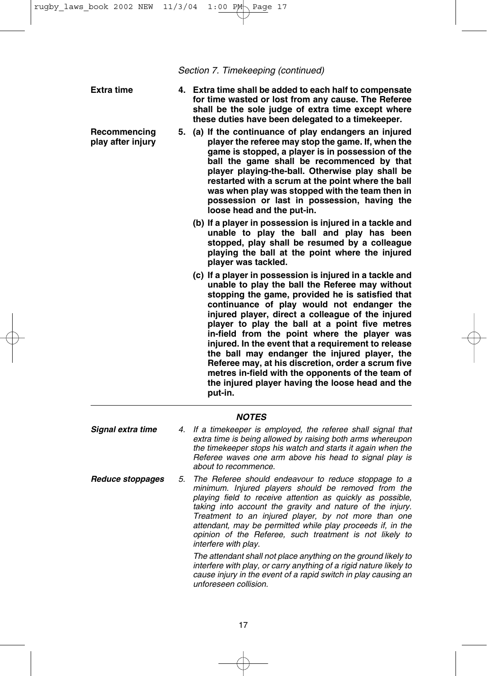*Section 7. Timekeeping (continued)*

| Extra time |  |
|------------|--|
|            |  |

- **Extra time 4. Extra time shall be added to each half to compensate for time wasted or lost from any cause. The Referee shall be the sole judge of extra time except where these duties have been delegated to a timekeeper.**
- **Recommencing 5. (a) If the continuance of play endangers an injured play after injury player the referee may stop the game. If, when the game is stopped, a player is in possession of the ball the game shall be recommenced by that player playing-the-ball. Otherwise play shall be restarted with a scrum at the point where the ball was when play was stopped with the team then in possession or last in possession, having the loose head and the put-in.**
	- **(b) If a player in possession is injured in a tackle and unable to play the ball and play has been stopped, play shall be resumed by a colleague playing the ball at the point where the injured player was tackled.**
	- **(c) If a player in possession is injured in a tackle and unable to play the ball the Referee may without stopping the game, provided he is satisfied that continuance of play would not endanger the injured player, direct a colleague of the injured player to play the ball at a point five metres in-field from the point where the player was injured. In the event that a requirement to release the ball may endanger the injured player, the Referee may, at his discretion, order a scrum five metres in-field with the opponents of the team of the injured player having the loose head and the put-in.**

#### *NOTES*

- *Signal extra time 4. If a timekeeper is employed, the referee shall signal that extra time is being allowed by raising both arms whereupon the timekeeper stops his watch and starts it again when the Referee waves one arm above his head to signal play is about to recommence.*
- *Reduce stoppages 5. The Referee should endeavour to reduce stoppage to a minimum. Injured players should be removed from the playing field to receive attention as quickly as possible, taking into account the gravity and nature of the injury. Treatment to an injured player, by not more than one attendant, may be permitted while play proceeds if, in the opinion of the Referee, such treatment is not likely to interfere with play.*

*The attendant shall not place anything on the ground likely to interfere with play, or carry anything of a rigid nature likely to cause injury in the event of a rapid switch in play causing an unforeseen collision.*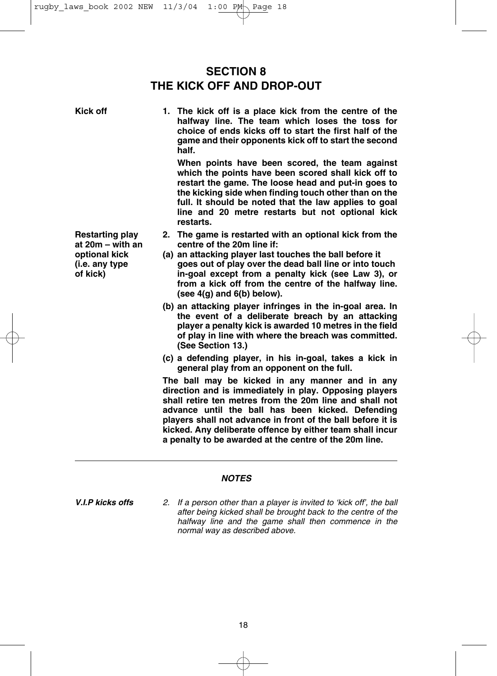### **SECTION 8 THE KICK OFF AND DROP-OUT**

| <b>Kick off</b>                                                                            | 1. The kick off is a place kick from the centre of the<br>halfway line. The team which loses the toss for<br>choice of ends kicks off to start the first half of the<br>game and their opponents kick off to start the second<br>half.                                                                                                                                                                                                                                                                                                                                                                              |
|--------------------------------------------------------------------------------------------|---------------------------------------------------------------------------------------------------------------------------------------------------------------------------------------------------------------------------------------------------------------------------------------------------------------------------------------------------------------------------------------------------------------------------------------------------------------------------------------------------------------------------------------------------------------------------------------------------------------------|
|                                                                                            | When points have been scored, the team against<br>which the points have been scored shall kick off to<br>restart the game. The loose head and put-in goes to<br>the kicking side when finding touch other than on the<br>full. It should be noted that the law applies to goal<br>line and 20 metre restarts but not optional kick<br>restarts.                                                                                                                                                                                                                                                                     |
| <b>Restarting play</b><br>at 20m - with an<br>optional kick<br>(i.e. any type)<br>of kick) | 2. The game is restarted with an optional kick from the<br>centre of the 20m line if:<br>(a) an attacking player last touches the ball before it<br>goes out of play over the dead ball line or into touch<br>in-goal except from a penalty kick (see Law 3), or<br>from a kick off from the centre of the halfway line.<br>(see $4(q)$ and $6(b)$ below).<br>(b) an attacking player infringes in the in-goal area. In<br>the event of a deliberate breach by an attacking<br>player a penalty kick is awarded 10 metres in the field<br>of play in line with where the breach was committed.<br>(See Section 13.) |
|                                                                                            | (c) a defending player, in his in-goal, takes a kick in<br>general play from an opponent on the full.                                                                                                                                                                                                                                                                                                                                                                                                                                                                                                               |
|                                                                                            | The ball may be kicked in any manner and in any<br>direction and is immediately in play. Opposing players<br>shall retire ten metres from the 20m line and shall not<br>advance until the ball has been kicked. Defending<br>players shall not advance in front of the ball before it is<br>kicked. Any deliberate offence by either team shall incur<br>a penalty to be awarded at the centre of the 20m line.                                                                                                                                                                                                     |

#### *NOTES*

*V.I.P kicks offs 2. If a person other than a player is invited to 'kick off', the ball after being kicked shall be brought back to the centre of the halfway line and the game shall then commence in the normal way as described above.*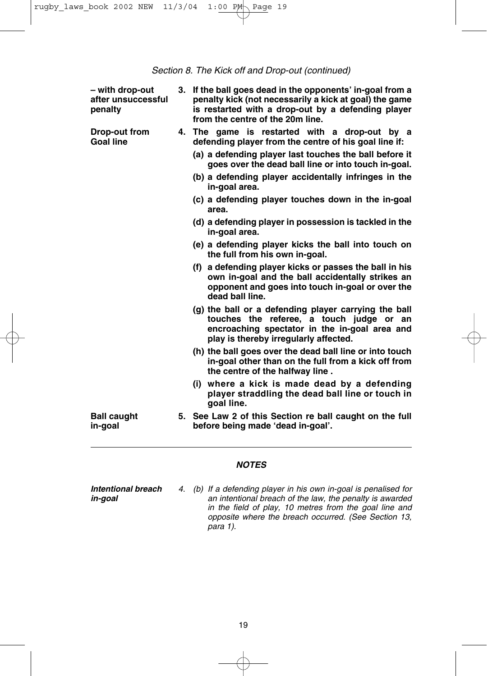*Section 8. The Kick off and Drop-out (continued)*

| - with drop-out<br>after unsuccessful<br>penalty | 3. If the ball goes dead in the opponents' in-goal from a<br>penalty kick (not necessarily a kick at goal) the game<br>is restarted with a drop-out by a defending player<br>from the centre of the 20m line. |
|--------------------------------------------------|---------------------------------------------------------------------------------------------------------------------------------------------------------------------------------------------------------------|
| Drop-out from<br><b>Goal line</b>                | 4. The game is restarted with a drop-out by a<br>defending player from the centre of his goal line if:                                                                                                        |
|                                                  | (a) a defending player last touches the ball before it<br>goes over the dead ball line or into touch in-goal.                                                                                                 |
|                                                  | (b) a defending player accidentally infringes in the<br>in-goal area.                                                                                                                                         |
|                                                  | (c) a defending player touches down in the in-goal<br>area.                                                                                                                                                   |
|                                                  | (d) a defending player in possession is tackled in the<br>in-goal area.                                                                                                                                       |
|                                                  | (e) a defending player kicks the ball into touch on<br>the full from his own in-goal.                                                                                                                         |
|                                                  | (f) a defending player kicks or passes the ball in his<br>own in-goal and the ball accidentally strikes an<br>opponent and goes into touch in-goal or over the<br>dead ball line.                             |
|                                                  | (g) the ball or a defending player carrying the ball<br>touches the referee, a touch judge or an<br>encroaching spectator in the in-goal area and<br>play is thereby irregularly affected.                    |
|                                                  | (h) the ball goes over the dead ball line or into touch<br>in-goal other than on the full from a kick off from<br>the centre of the halfway line.                                                             |
|                                                  | (i) where a kick is made dead by a defending<br>player straddling the dead ball line or touch in<br>goal line.                                                                                                |
| <b>Ball caught</b><br>in-goal                    | 5. See Law 2 of this Section re ball caught on the full<br>before being made 'dead in-goal'.                                                                                                                  |

#### *NOTES*

*Intentional breach 4. (b) If a defending player in his own in-goal is penalised for* an intentional breach of the law, the penalty is awarded *in the field of play, 10 metres from the goal line and opposite where the breach occurred. (See Section 13, para 1).*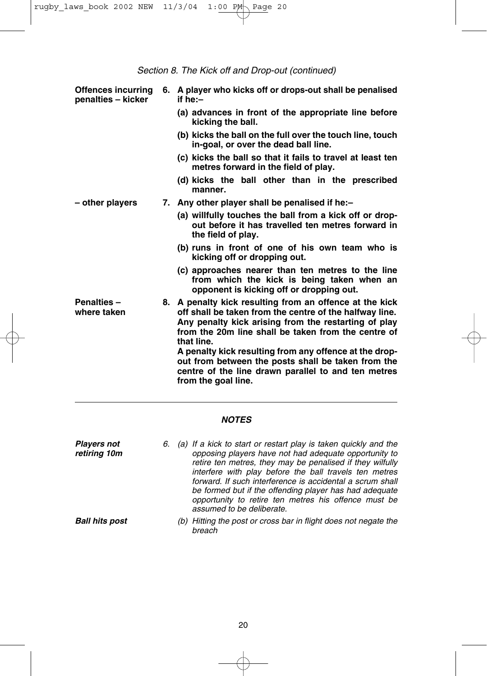| <b>Offences incurring</b><br>penalties - kicker | 6. A player who kicks off or drops-out shall be penalised<br>if he:-                                                                                                                                                                                                                                                                                                                                                                          |
|-------------------------------------------------|-----------------------------------------------------------------------------------------------------------------------------------------------------------------------------------------------------------------------------------------------------------------------------------------------------------------------------------------------------------------------------------------------------------------------------------------------|
|                                                 | (a) advances in front of the appropriate line before<br>kicking the ball.                                                                                                                                                                                                                                                                                                                                                                     |
|                                                 | (b) kicks the ball on the full over the touch line, touch<br>in-goal, or over the dead ball line.                                                                                                                                                                                                                                                                                                                                             |
|                                                 | (c) kicks the ball so that it fails to travel at least ten<br>metres forward in the field of play.                                                                                                                                                                                                                                                                                                                                            |
|                                                 | (d) kicks the ball other than in the prescribed<br>manner.                                                                                                                                                                                                                                                                                                                                                                                    |
| - other players                                 | 7. Any other player shall be penalised if he:-                                                                                                                                                                                                                                                                                                                                                                                                |
|                                                 | (a) willfully touches the ball from a kick off or drop-<br>out before it has travelled ten metres forward in<br>the field of play.                                                                                                                                                                                                                                                                                                            |
|                                                 | (b) runs in front of one of his own team who is<br>kicking off or dropping out.                                                                                                                                                                                                                                                                                                                                                               |
|                                                 | (c) approaches nearer than ten metres to the line<br>from which the kick is being taken when an<br>opponent is kicking off or dropping out.                                                                                                                                                                                                                                                                                                   |
| <b>Penalties -</b><br>where taken               | 8. A penalty kick resulting from an offence at the kick<br>off shall be taken from the centre of the halfway line.<br>Any penalty kick arising from the restarting of play<br>from the 20m line shall be taken from the centre of<br>that line.<br>A penalty kick resulting from any offence at the drop-<br>out from between the posts shall be taken from the<br>centre of the line drawn parallel to and ten metres<br>from the goal line. |
|                                                 |                                                                                                                                                                                                                                                                                                                                                                                                                                               |

*Section 8. The Kick off and Drop-out (continued)*

| <b>Players not</b><br>retiring 10m |  | 6. (a) If a kick to start or restart play is taken quickly and the<br>opposing players have not had adequate opportunity to<br>retire ten metres, they may be penalised if they wilfully<br>interfere with play before the ball travels ten metres<br>forward. If such interference is accidental a scrum shall<br>be formed but if the offending player has had adequate<br>opportunity to retire ten metres his offence must be<br>assumed to be deliberate. |
|------------------------------------|--|----------------------------------------------------------------------------------------------------------------------------------------------------------------------------------------------------------------------------------------------------------------------------------------------------------------------------------------------------------------------------------------------------------------------------------------------------------------|
| <b>Ball hits post</b>              |  | (b) Hitting the post or cross bar in flight does not negate the<br>breach                                                                                                                                                                                                                                                                                                                                                                                      |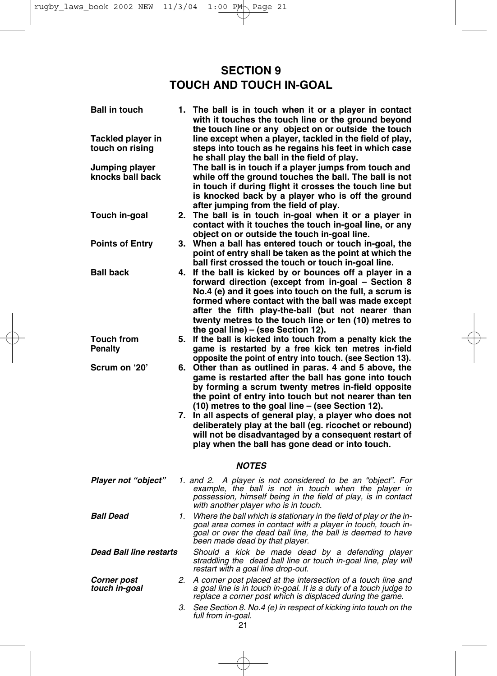$\sqrt{\text{rugby\_laws\_book 2002 NEW} \quad 11/3/04}$  1:00 PM Page 21

# **SECTION 9 TOUCH AND TOUCH IN-GOAL**

| <b>Ball in touch</b>                 |    | 1. The ball is in touch when it or a player in contact<br>with it touches the touch line or the ground beyond                                                                                                                                                                                                                                                                     |
|--------------------------------------|----|-----------------------------------------------------------------------------------------------------------------------------------------------------------------------------------------------------------------------------------------------------------------------------------------------------------------------------------------------------------------------------------|
| Tackled player in<br>touch on rising |    | the touch line or any object on or outside the touch<br>line except when a player, tackled in the field of play,<br>steps into touch as he regains his feet in which case<br>he shall play the ball in the field of play.                                                                                                                                                         |
| Jumping player<br>knocks ball back   |    | The ball is in touch if a player jumps from touch and<br>while off the ground touches the ball. The ball is not<br>in touch if during flight it crosses the touch line but<br>is knocked back by a player who is off the ground<br>after jumping from the field of play.                                                                                                          |
| Touch in-goal                        | 2. | The ball is in touch in-goal when it or a player in<br>contact with it touches the touch in-goal line, or any<br>object on or outside the touch in-goal line.                                                                                                                                                                                                                     |
| <b>Points of Entry</b>               | 3. | When a ball has entered touch or touch in-goal, the<br>point of entry shall be taken as the point at which the<br>ball first crossed the touch or touch in-goal line.                                                                                                                                                                                                             |
| <b>Ball back</b>                     | 4. | If the ball is kicked by or bounces off a player in a<br>forward direction (except from in-goal - Section 8<br>No.4 (e) and it goes into touch on the full, a scrum is<br>formed where contact with the ball was made except<br>after the fifth play-the-ball (but not nearer than<br>twenty metres to the touch line or ten (10) metres to<br>the goal line) – (see Section 12). |
| <b>Touch from</b><br>Penalty         | 5. | If the ball is kicked into touch from a penalty kick the<br>game is restarted by a free kick ten metres in-field<br>opposite the point of entry into touch. (see Section 13).                                                                                                                                                                                                     |
| Scrum on '20'                        | 6. | Other than as outlined in paras. 4 and 5 above, the<br>game is restarted after the ball has gone into touch<br>by forming a scrum twenty metres in-field opposite<br>the point of entry into touch but not nearer than ten<br>(10) metres to the goal line – (see Section 12).                                                                                                    |
|                                      | 7. | In all aspects of general play, a player who does not<br>deliberately play at the ball (eg. ricochet or rebound)<br>will not be disadvantaged by a consequent restart of<br>play when the ball has gone dead or into touch.                                                                                                                                                       |

| Player not "object"                 |  | 1. and 2. A player is not considered to be an "object". For<br>example, the ball is not in touch when the player in<br>possession, himself being in the field of play, is in contact<br>with another player who is in touch.           |
|-------------------------------------|--|----------------------------------------------------------------------------------------------------------------------------------------------------------------------------------------------------------------------------------------|
| Ball Dead                           |  | 1. Where the ball which is stationary in the field of play or the in-<br>goal area comes in contact with a player in touch, touch in-<br>goal or over the dead ball line, the ball is deemed to have<br>been made dead by that player. |
| Dead Ball line restarts             |  | Should a kick be made dead by a defending player<br>straddling the dead ball line or touch in-goal line, play will<br>restart with a goal line drop-out.                                                                               |
| <b>Corner post</b><br>touch in-goal |  | 2. A corner post placed at the intersection of a touch line and<br>a goal line is in touch in-goal. It is a duty of a touch judge to<br>replace a corner post which is displaced during the game.                                      |
|                                     |  | 3. See Section 8. No.4 (e) in respect of kicking into touch on the<br>full from in-goal.<br>ດ-1                                                                                                                                        |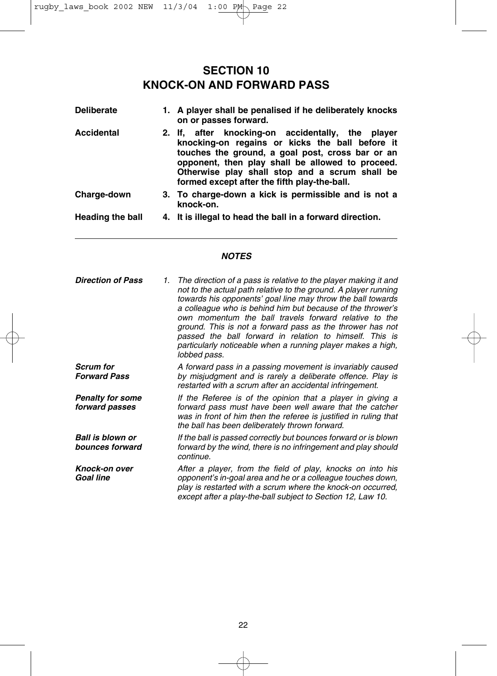### **SECTION 10 KNOCK-ON AND FORWARD PASS**

| <b>Deliberate</b>       | 1. A player shall be penalised if he deliberately knocks<br>on or passes forward.                                                                                                                                                                                                                              |
|-------------------------|----------------------------------------------------------------------------------------------------------------------------------------------------------------------------------------------------------------------------------------------------------------------------------------------------------------|
| Accidental              | 2. If, after knocking-on accidentally, the player<br>knocking-on regains or kicks the ball before it<br>touches the ground, a goal post, cross bar or an<br>opponent, then play shall be allowed to proceed.<br>Otherwise play shall stop and a scrum shall be<br>formed except after the fifth play-the-ball. |
| Charge-down             | 3. To charge-down a kick is permissible and is not a<br>knock-on.                                                                                                                                                                                                                                              |
| <b>Heading the ball</b> | 4. It is illegal to head the ball in a forward direction.                                                                                                                                                                                                                                                      |

| <b>Direction of Pass</b>                   | 1. The direction of a pass is relative to the player making it and<br>not to the actual path relative to the ground. A player running<br>towards his opponents' goal line may throw the ball towards<br>a colleague who is behind him but because of the thrower's<br>own momentum the ball travels forward relative to the<br>ground. This is not a forward pass as the thrower has not<br>passed the ball forward in relation to himself. This is<br>particularly noticeable when a running player makes a high,<br>lobbed pass. |
|--------------------------------------------|------------------------------------------------------------------------------------------------------------------------------------------------------------------------------------------------------------------------------------------------------------------------------------------------------------------------------------------------------------------------------------------------------------------------------------------------------------------------------------------------------------------------------------|
| <b>Scrum for</b><br><b>Forward Pass</b>    | A forward pass in a passing movement is invariably caused<br>by misjudgment and is rarely a deliberate offence. Play is<br>restarted with a scrum after an accidental infringement.                                                                                                                                                                                                                                                                                                                                                |
| <b>Penalty for some</b><br>forward passes  | If the Referee is of the opinion that a player in giving a<br>forward pass must have been well aware that the catcher<br>was in front of him then the referee is justified in ruling that<br>the ball has been deliberately thrown forward.                                                                                                                                                                                                                                                                                        |
| <b>Ball is blown or</b><br>bounces forward | If the ball is passed correctly but bounces forward or is blown<br>forward by the wind, there is no infringement and play should<br>continue.                                                                                                                                                                                                                                                                                                                                                                                      |
| Knock-on over<br><b>Goal line</b>          | After a player, from the field of play, knocks on into his<br>opponent's in-goal area and he or a colleague touches down,<br>play is restarted with a scrum where the knock-on occurred,<br>except after a play-the-ball subject to Section 12, Law 10.                                                                                                                                                                                                                                                                            |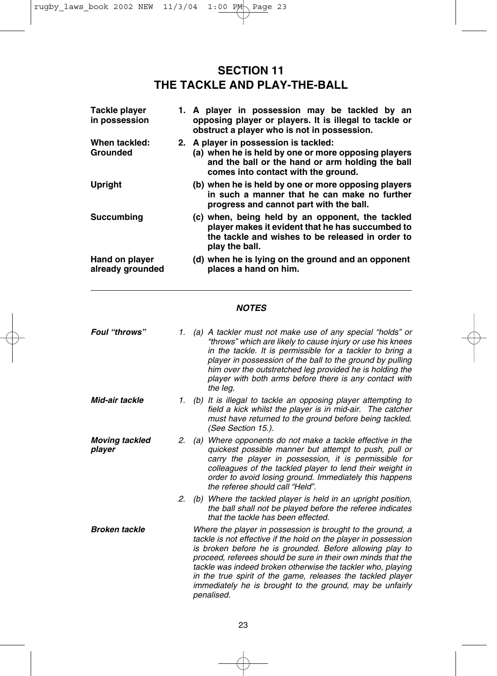## **SECTION 11 THE TACKLE AND PLAY-THE-BALL**

| Tackle player<br>in possession     | 1. A player in possession may be tackled by an<br>opposing player or players. It is illegal to tackle or<br>obstruct a player who is not in possession.                                 |
|------------------------------------|-----------------------------------------------------------------------------------------------------------------------------------------------------------------------------------------|
| When tackled:<br><b>Grounded</b>   | 2. A player in possession is tackled:<br>(a) when he is held by one or more opposing players<br>and the ball or the hand or arm holding the ball<br>comes into contact with the ground. |
| <b>Upright</b>                     | (b) when he is held by one or more opposing players<br>in such a manner that he can make no further<br>progress and cannot part with the ball.                                          |
| <b>Succumbing</b>                  | (c) when, being held by an opponent, the tackled<br>player makes it evident that he has succumbed to<br>the tackle and wishes to be released in order to<br>play the ball.              |
| Hand on player<br>already grounded | (d) when he is lying on the ground and an opponent<br>places a hand on him.                                                                                                             |

| <b>Foul "throws"</b>            |    |                                                                                                                                                                                                                                                                                                                                                                                                                                                                   | 1. (a) A tackler must not make use of any special "holds" or<br>"throws" which are likely to cause injury or use his knees<br>in the tackle. It is permissible for a tackler to bring a<br>player in possession of the ball to the ground by pulling<br>him over the outstretched leg provided he is holding the<br>player with both arms before there is any contact with<br>the leg. |
|---------------------------------|----|-------------------------------------------------------------------------------------------------------------------------------------------------------------------------------------------------------------------------------------------------------------------------------------------------------------------------------------------------------------------------------------------------------------------------------------------------------------------|----------------------------------------------------------------------------------------------------------------------------------------------------------------------------------------------------------------------------------------------------------------------------------------------------------------------------------------------------------------------------------------|
| Mid-air tackle                  |    |                                                                                                                                                                                                                                                                                                                                                                                                                                                                   | 1. (b) It is illegal to tackle an opposing player attempting to<br>field a kick whilst the player is in mid-air. The catcher<br>must have returned to the ground before being tackled.<br>(See Section 15.).                                                                                                                                                                           |
| <b>Moving tackled</b><br>player | 2. |                                                                                                                                                                                                                                                                                                                                                                                                                                                                   | (a) Where opponents do not make a tackle effective in the<br>quickest possible manner but attempt to push, pull or<br>carry the player in possession, it is permissible for<br>colleagues of the tackled player to lend their weight in<br>order to avoid losing ground. Immediately this happens<br>the referee should call "Held".                                                   |
|                                 |    |                                                                                                                                                                                                                                                                                                                                                                                                                                                                   | 2. (b) Where the tackled player is held in an upright position,<br>the ball shall not be played before the referee indicates<br>that the tackle has been effected.                                                                                                                                                                                                                     |
| <b>Broken tackle</b>            |    | Where the player in possession is brought to the ground, a<br>tackle is not effective if the hold on the player in possession<br>is broken before he is grounded. Before allowing play to<br>proceed, referees should be sure in their own minds that the<br>tackle was indeed broken otherwise the tackler who, playing<br>in the true spirit of the game, releases the tackled player<br>immediately he is brought to the ground, may be unfairly<br>penalised. |                                                                                                                                                                                                                                                                                                                                                                                        |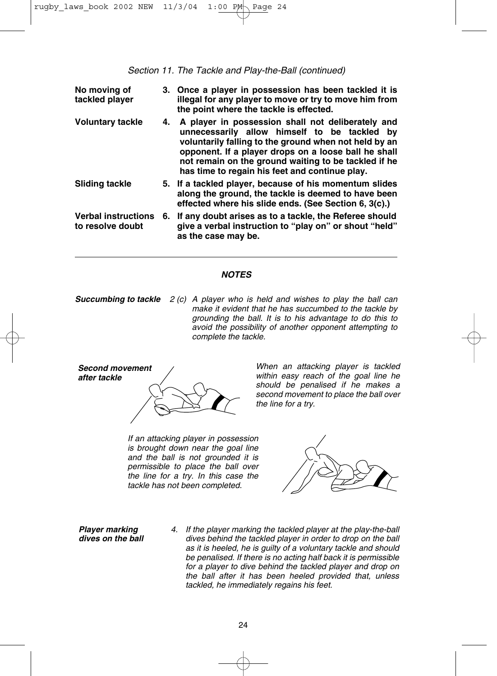| No moving of<br>tackled player                 | 3. Once a player in possession has been tackled it is<br>illegal for any player to move or try to move him from<br>the point where the tackle is effected.                                                                                                                                                                      |
|------------------------------------------------|---------------------------------------------------------------------------------------------------------------------------------------------------------------------------------------------------------------------------------------------------------------------------------------------------------------------------------|
| <b>Voluntary tackle</b>                        | 4. A player in possession shall not deliberately and<br>unnecessarily allow himself to be tackled by<br>voluntarily falling to the ground when not held by an<br>opponent. If a player drops on a loose ball he shall<br>not remain on the ground waiting to be tackled if he<br>has time to regain his feet and continue play. |
| <b>Sliding tackle</b>                          | 5. If a tackled player, because of his momentum slides<br>along the ground, the tackle is deemed to have been<br>effected where his slide ends. (See Section 6, 3(c).)                                                                                                                                                          |
| <b>Verbal instructions</b><br>to resolve doubt | 6. If any doubt arises as to a tackle, the Referee should<br>give a verbal instruction to "play on" or shout "held"<br>as the case may be.                                                                                                                                                                                      |

#### *NOTES*

*Succumbing to tackle 2 (c) A player who is held and wishes to play the ball can make it evident that he has succumbed to the tackle by grounding the ball. It is to his advantage to do this to avoid the possibility of another opponent attempting to complete the tackle.*





*When an attacking player is tackled within easy reach of the goal line he should be penalised if he makes a second movement to place the ball over the line for a try.*

*If an attacking player in possession is brought down near the goal line and the ball is not grounded it is permissible to place the ball over the line for a try. In this case the tackle has not been completed.*



*Player marking dives on the ball* *4. If the player marking the tackled player at the play-the-ball dives behind the tackled player in order to drop on the ball as it is heeled, he is guilty of a voluntary tackle and should be penalised. If there is no acting half back it is permissible for a player to dive behind the tackled player and drop on the ball after it has been heeled provided that, unless tackled, he immediately regains his feet.*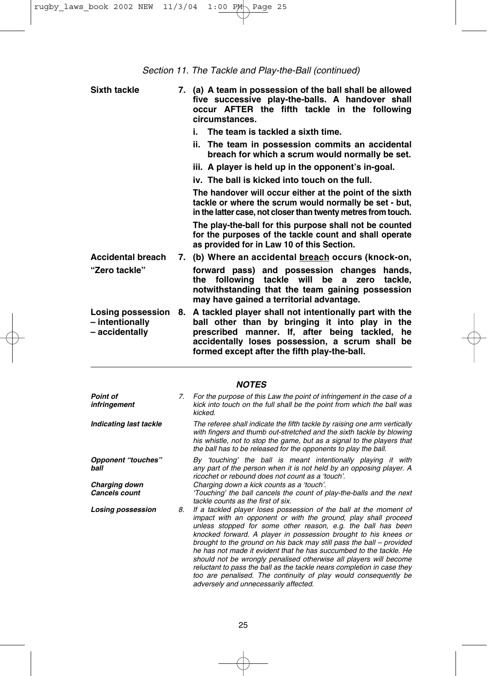| 7. (a) A team in possession of the ball shall be allowed<br>five successive play-the-balls. A handover shall<br>occur AFTER the fifth tackle in the following<br>circumstances.<br>The team is tackled a sixth time.<br>i.,                                                         |
|-------------------------------------------------------------------------------------------------------------------------------------------------------------------------------------------------------------------------------------------------------------------------------------|
|                                                                                                                                                                                                                                                                                     |
|                                                                                                                                                                                                                                                                                     |
| ii. The team in possession commits an accidental<br>breach for which a scrum would normally be set.                                                                                                                                                                                 |
| iii. A player is held up in the opponent's in-goal.                                                                                                                                                                                                                                 |
| iv. The ball is kicked into touch on the full.                                                                                                                                                                                                                                      |
| The handover will occur either at the point of the sixth<br>tackle or where the scrum would normally be set - but,<br>in the latter case, not closer than twenty metres from touch.                                                                                                 |
| The play-the-ball for this purpose shall not be counted<br>for the purposes of the tackle count and shall operate<br>as provided for in Law 10 of this Section.                                                                                                                     |
| 7. (b) Where an accidental breach occurs (knock-on,                                                                                                                                                                                                                                 |
| forward pass) and possession changes hands,<br>the following tackle will be<br>a zero<br>tackle.<br>notwithstanding that the team gaining possession<br>may have gained a territorial advantage.                                                                                    |
| Losing possession 8. A tackled player shall not intentionally part with the<br>ball other than by bringing it into play in the<br>prescribed manner. If, after being tackled, he<br>accidentally loses possession, a scrum shall be<br>formed except after the fifth play-the-ball. |
| <b>Accidental breach</b>                                                                                                                                                                                                                                                            |

| Point of<br>infringement          |    | 7. For the purpose of this Law the point of infringement in the case of a<br>kick into touch on the full shall be the point from which the ball was<br>kicked.                                                                                                                                                                                                                                                                                                                                                                                                                                                                                                                  |
|-----------------------------------|----|---------------------------------------------------------------------------------------------------------------------------------------------------------------------------------------------------------------------------------------------------------------------------------------------------------------------------------------------------------------------------------------------------------------------------------------------------------------------------------------------------------------------------------------------------------------------------------------------------------------------------------------------------------------------------------|
| Indicating last tackle            |    | The referee shall indicate the fifth tackle by raising one arm vertically<br>with fingers and thumb out-stretched and the sixth tackle by blowing<br>his whistle, not to stop the game, but as a signal to the players that<br>the ball has to be released for the opponents to play the ball.                                                                                                                                                                                                                                                                                                                                                                                  |
| <b>Opponent "touches"</b><br>ball |    | By 'touching' the ball is meant intentionally playing it with<br>any part of the person when it is not held by an opposing player. A<br>ricochet or rebound does not count as a 'touch'.                                                                                                                                                                                                                                                                                                                                                                                                                                                                                        |
| Charging down                     |    | Charging down a kick counts as a 'touch'.                                                                                                                                                                                                                                                                                                                                                                                                                                                                                                                                                                                                                                       |
| Cancels count                     |    | 'Touching' the ball cancels the count of play-the-balls and the next<br>tackle counts as the first of six.                                                                                                                                                                                                                                                                                                                                                                                                                                                                                                                                                                      |
| Losing possession                 | 8. | If a tackled player loses possession of the ball at the moment of<br>impact with an opponent or with the ground, play shall proceed<br>unless stopped for some other reason, e.g. the ball has been<br>knocked forward. A player in possession brought to his knees or<br>brought to the ground on his back may still pass the ball – provided<br>he has not made it evident that he has succumbed to the tackle. He<br>should not be wrongly penalised otherwise all players will become<br>reluctant to pass the ball as the tackle nears completion in case they<br>too are penalised. The continuity of play would consequently be<br>adversely and unnecessarily affected. |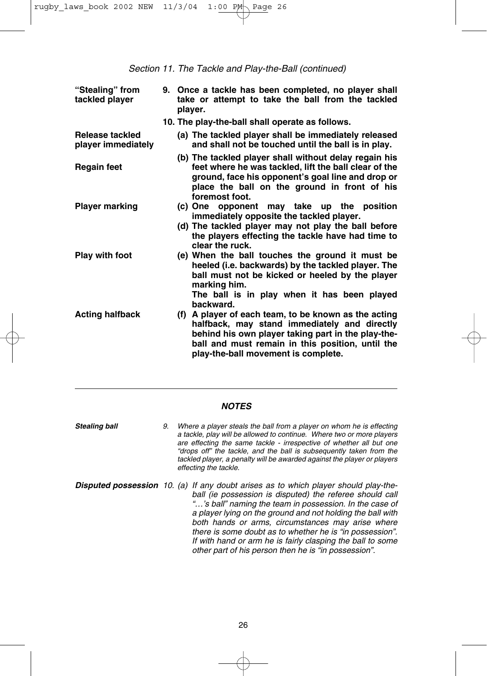| "Stealing" from<br>tackled player     | 9. Once a tackle has been completed, no player shall<br>take or attempt to take the ball from the tackled<br>player.                                                                                                                                  |
|---------------------------------------|-------------------------------------------------------------------------------------------------------------------------------------------------------------------------------------------------------------------------------------------------------|
|                                       | 10. The play-the-ball shall operate as follows.                                                                                                                                                                                                       |
| Release tackled<br>player immediately | (a) The tackled player shall be immediately released<br>and shall not be touched until the ball is in play.                                                                                                                                           |
| <b>Regain feet</b>                    | (b) The tackled player shall without delay regain his<br>feet where he was tackled, lift the ball clear of the<br>ground, face his opponent's goal line and drop or<br>place the ball on the ground in front of his<br>foremost foot.                 |
| <b>Player marking</b>                 | opponent may take up the position<br>(c) One<br>immediately opposite the tackled player.<br>(d) The tackled player may not play the ball before<br>the players effecting the tackle have had time to<br>clear the ruck.                               |
| <b>Play with foot</b>                 | (e) When the ball touches the ground it must be<br>heeled (i.e. backwards) by the tackled player. The<br>ball must not be kicked or heeled by the player<br>marking him.<br>The ball is in play when it has been played<br>backward.                  |
| <b>Acting halfback</b>                | (f) A player of each team, to be known as the acting<br>halfback, may stand immediately and directly<br>behind his own player taking part in the play-the-<br>ball and must remain in this position, until the<br>play-the-ball movement is complete. |

#### *NOTES*

| <b>Stealing ball</b> | 9. | Where a player steals the ball from a player on whom he is effecting<br>a tackle, play will be allowed to continue. Where two or more players<br>are effecting the same tackle - irrespective of whether all but one<br>"drops off" the tackle, and the ball is subsequently taken from the<br>tackled player, a penalty will be awarded against the player or players<br>effecting the tackle. |
|----------------------|----|-------------------------------------------------------------------------------------------------------------------------------------------------------------------------------------------------------------------------------------------------------------------------------------------------------------------------------------------------------------------------------------------------|
|                      |    | <b>Disputed possession</b> 10. (a) If any doubt arises as to which player should play-the-<br>ball (ie possession is disputed) the referee should call                                                                                                                                                                                                                                          |

*ball (ie possession is disputed) the referee should call "…'s ball" naming the team in possession. In the case of a player lying on the ground and not holding the ball with both hands or arms, circumstances may arise where there is some doubt as to whether he is "in possession". If with hand or arm he is fairly clasping the ball to some other part of his person then he is "in possession".*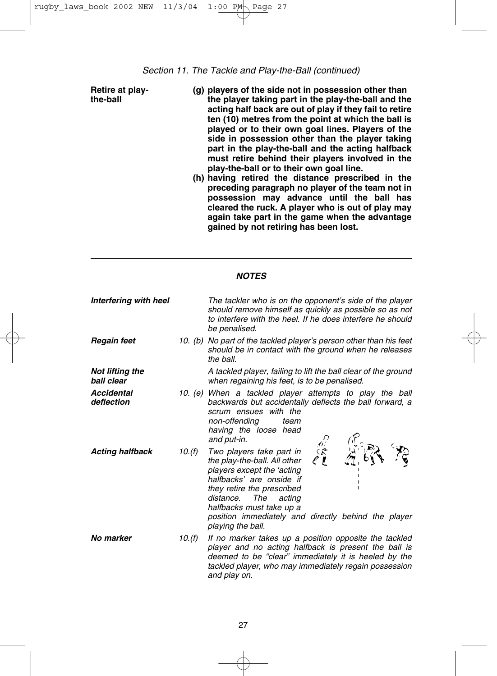**Retire at play-** (g) players of the side not in possession other than<br>the-ball and the player taking part in the play-the-ball and the the player taking part in the play-the-ball and the **acting half back are out of play if they fail to retire ten (10) metres from the point at which the ball is played or to their own goal lines. Players of the side in possession other than the player taking part in the play-the-ball and the acting halfback must retire behind their players involved in the play-the-ball or to their own goal line.**

**(h) having retired the distance prescribed in the preceding paragraph no player of the team not in possession may advance until the ball has cleared the ruck. A player who is out of play may again take part in the game when the advantage gained by not retiring has been lost.**

| Interfering with heel                |        | The tackler who is on the opponent's side of the player<br>should remove himself as quickly as possible so as not<br>to interfere with the heel. If he does interfere he should<br>be penalised.                                                                                                        |
|--------------------------------------|--------|---------------------------------------------------------------------------------------------------------------------------------------------------------------------------------------------------------------------------------------------------------------------------------------------------------|
| <b>Regain feet</b>                   |        | 10. (b) No part of the tackled player's person other than his feet<br>should be in contact with the ground when he releases<br>the ball.                                                                                                                                                                |
| <b>Not lifting the</b><br>ball clear |        | A tackled player, failing to lift the ball clear of the ground<br>when regaining his feet, is to be penalised.                                                                                                                                                                                          |
| Accidental<br>deflection             |        | 10. (e) When a tackled player attempts to play the ball<br>backwards but accidentally deflects the ball forward, a<br>scrum ensues with the<br>non-offending<br>team<br>having the loose head<br>and put-in.                                                                                            |
| <b>Acting halfback</b>               | 10.(f) | <i>震災</i><br>第17<br>Two players take part in<br>the play-the-ball. All other<br>players except the 'acting<br>halfbacks' are onside if<br>they retire the prescribed<br>distance.<br>The acting<br>halfbacks must take up a<br>position immediately and directly behind the player<br>playing the ball. |
| No marker                            | 10.(f) | If no marker takes up a position opposite the tackled<br>player and no acting halfback is present the ball is<br>deemed to be "clear" immediately it is heeled by the<br>tackled player, who may immediately regain possession<br>and play on.                                                          |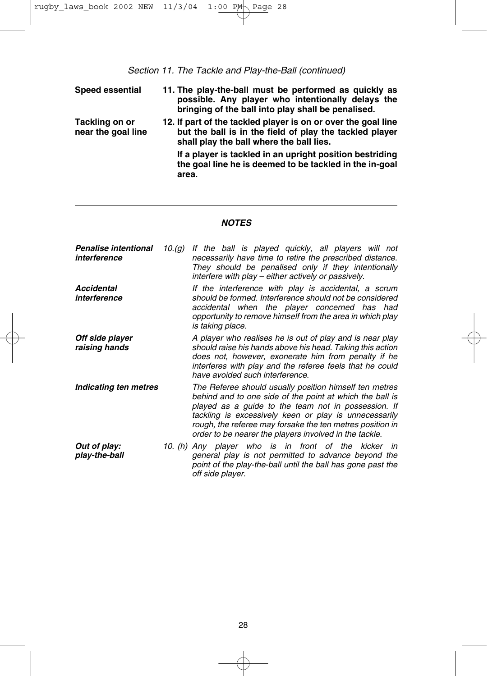| <b>Speed essential</b>               | 11. The play-the-ball must be performed as quickly as<br>possible. Any player who intentionally delays the<br>bringing of the ball into play shall be penalised.     |
|--------------------------------------|----------------------------------------------------------------------------------------------------------------------------------------------------------------------|
| Tackling on or<br>near the goal line | 12. If part of the tackled player is on or over the goal line<br>but the ball is in the field of play the tackled player<br>shall play the ball where the ball lies. |
|                                      | If a player is tackled in an upright position bestriding<br>the goal line he is deemed to be tackled in the in-goal<br>area.                                         |

| <b>Penalise intentional</b><br>interference | 10.(g) | If the ball is played quickly, all players will not<br>necessarily have time to retire the prescribed distance.<br>They should be penalised only if they intentionally<br>interfere with play – either actively or passively.                                                                                                                             |
|---------------------------------------------|--------|-----------------------------------------------------------------------------------------------------------------------------------------------------------------------------------------------------------------------------------------------------------------------------------------------------------------------------------------------------------|
| Accidental<br>interference                  |        | If the interference with play is accidental, a scrum<br>should be formed. Interference should not be considered<br>accidental when the player concerned has had<br>opportunity to remove himself from the area in which play<br>is taking place.                                                                                                          |
| Off side player<br>raising hands            |        | A player who realises he is out of play and is near play<br>should raise his hands above his head. Taking this action<br>does not, however, exonerate him from penalty if he<br>interferes with play and the referee feels that he could<br>have avoided such interference.                                                                               |
| Indicating ten metres                       |        | The Referee should usually position himself ten metres<br>behind and to one side of the point at which the ball is<br>played as a guide to the team not in possession. If<br>tackling is excessively keen or play is unnecessarily<br>rough, the referee may forsake the ten metres position in<br>order to be nearer the players involved in the tackle. |
| Out of play:<br>play-the-ball               |        | 10. (h) Any player who is in front of the kicker in<br>general play is not permitted to advance beyond the<br>point of the play-the-ball until the ball has gone past the<br>off side player.                                                                                                                                                             |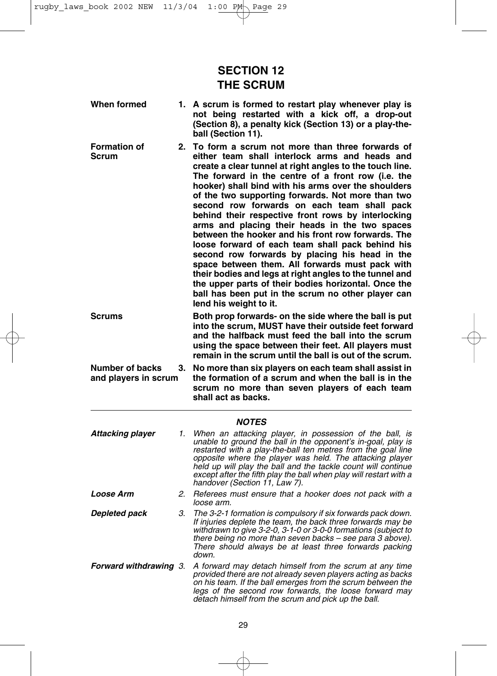**SECTION 12 THE SCRUM When formed 1. A scrum is formed to restart play whenever play is not being restarted with a kick off, a drop-out (Section 8), a penalty kick (Section 13) or a play-theball (Section 11). Formation of 2. To form a scrum not more than three forwards of Scrum either team shall interlock arms and heads and create a clear tunnel at right angles to the touch line. The forward in the centre of a front row (i.e. the hooker) shall bind with his arms over the shoulders of the two supporting forwards. Not more than two second row forwards on each team shall pack behind their respective front rows by interlocking arms and placing their heads in the two spaces between the hooker and his front row forwards. The loose forward of each team shall pack behind his second row forwards by placing his head in the space between them. All forwards must pack with their bodies and legs at right angles to the tunnel and the upper parts of their bodies horizontal. Once the ball has been put in the scrum no other player can lend his weight to it. Scrums Both prop forwards- on the side where the ball is put into the scrum, MUST have their outside feet forward and the halfback must feed the ball into the scrum using the space between their feet. All players must remain in the scrum until the ball is out of the scrum. Number of backs 3. No more than six players on each team shall assist in and players in scrum the formation of a scrum and when the ball is in the scrum no more than seven players of each team shall act as backs.** *NOTES Attacking player 1. When an attacking player, in possession of the ball, is unable to ground the ball in the opponent's in-goal, play is restarted with a play-the-ball ten metres from the goal line opposite where the player was held. The attacking player held up will play the ball and the tackle count will continue except after the fifth play the ball when play will restart with a handover (Section 11, Law 7). Loose Arm 2. Referees must ensure that a hooker does not pack with a loose arm. Depleted pack 3. The 3-2-1 formation is compulsory if six forwards pack down. If injuries deplete the team, the back three forwards may be withdrawn to give 3-2-0, 3-1-0 or 3-0-0 formations (subject to there being no more than seven backs – see para 3 above). There should always be at least three forwards packing down. Forward withdrawing 3. A forward may detach himself from the scrum at any time provided there are not already seven players acting as backs on his team. If the ball emerges from the scrum between the legs of the second row forwards, the loose forward may*

rugby laws book 2002 NEW  $11/3/04$  1:00 PM Page 29

*detach himself from the scrum and pick up the ball.*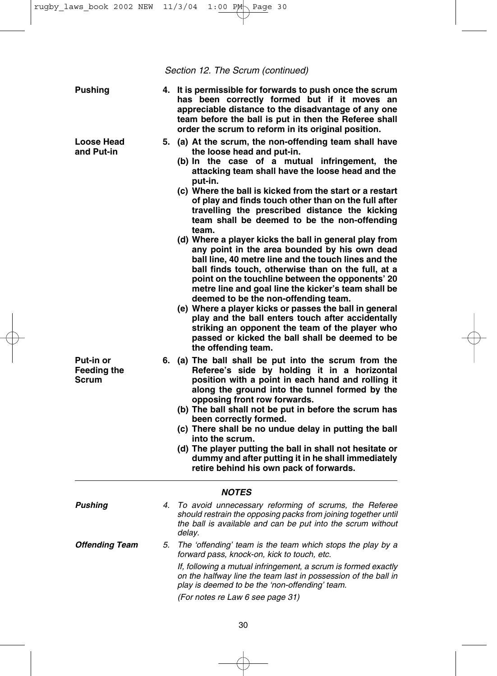*Section 12. The Scrum (continued)*

|              | <b>Pushing</b>                  |    | 4. It is permissible for forwards to push once the scrum<br>has been correctly formed but if it moves an<br>appreciable distance to the disadvantage of any one<br>team before the ball is put in then the Referee shall<br>order the scrum to reform in its original position.                                                                                                                                                                                                                                                                                                                                                                                                                                                                                                                                                                                                                                                                                                                                                                             |
|--------------|---------------------------------|----|-------------------------------------------------------------------------------------------------------------------------------------------------------------------------------------------------------------------------------------------------------------------------------------------------------------------------------------------------------------------------------------------------------------------------------------------------------------------------------------------------------------------------------------------------------------------------------------------------------------------------------------------------------------------------------------------------------------------------------------------------------------------------------------------------------------------------------------------------------------------------------------------------------------------------------------------------------------------------------------------------------------------------------------------------------------|
|              | Loose Head<br>and Put-in        |    | 5. (a) At the scrum, the non-offending team shall have<br>the loose head and put-in.<br>(b) In the case of a mutual infringement, the<br>attacking team shall have the loose head and the<br>put-in.<br>(c) Where the ball is kicked from the start or a restart<br>of play and finds touch other than on the full after<br>travelling the prescribed distance the kicking<br>team shall be deemed to be the non-offending<br>team.<br>(d) Where a player kicks the ball in general play from<br>any point in the area bounded by his own dead<br>ball line, 40 metre line and the touch lines and the<br>ball finds touch, otherwise than on the full, at a<br>point on the touchline between the opponents' 20<br>metre line and goal line the kicker's team shall be<br>deemed to be the non-offending team.<br>(e) Where a player kicks or passes the ball in general<br>play and the ball enters touch after accidentally<br>striking an opponent the team of the player who<br>passed or kicked the ball shall be deemed to be<br>the offending team. |
| <b>Scrum</b> | Put-in or<br><b>Feeding the</b> |    | 6. (a) The ball shall be put into the scrum from the<br>Referee's side by holding it in a horizontal<br>position with a point in each hand and rolling it<br>along the ground into the tunnel formed by the<br>opposing front row forwards.<br>(b) The ball shall not be put in before the scrum has<br>been correctly formed.<br>(c) There shall be no undue delay in putting the ball<br>into the scrum.<br>(d) The player putting the ball in shall not hesitate or<br>dummy and after putting it in he shall immediately<br>retire behind his own pack of forwards.                                                                                                                                                                                                                                                                                                                                                                                                                                                                                     |
|              |                                 |    | <b>NOTES</b>                                                                                                                                                                                                                                                                                                                                                                                                                                                                                                                                                                                                                                                                                                                                                                                                                                                                                                                                                                                                                                                |
|              | <b>Pushing</b>                  | 4. | To avoid unnecessary reforming of scrums, the Referee<br>should restrain the opposing packs from joining together until<br>the ball is available and can be put into the scrum without<br>delay.                                                                                                                                                                                                                                                                                                                                                                                                                                                                                                                                                                                                                                                                                                                                                                                                                                                            |
|              | <b>Offending Team</b>           | 5. | The 'offending' team is the team which stops the play by a<br>forward pass, knock-on, kick to touch, etc.                                                                                                                                                                                                                                                                                                                                                                                                                                                                                                                                                                                                                                                                                                                                                                                                                                                                                                                                                   |
|              |                                 |    | If, following a mutual infringement, a scrum is formed exactly<br>on the halfway line the team last in possession of the ball in<br>play is deemed to be the 'non-offending' team.                                                                                                                                                                                                                                                                                                                                                                                                                                                                                                                                                                                                                                                                                                                                                                                                                                                                          |
|              |                                 |    | (For notes re Law 6 see page 31)                                                                                                                                                                                                                                                                                                                                                                                                                                                                                                                                                                                                                                                                                                                                                                                                                                                                                                                                                                                                                            |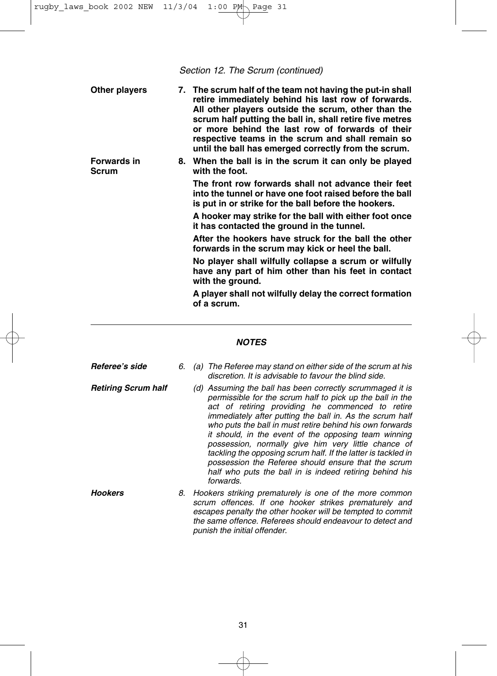*Section 12. The Scrum (continued)*

| Other players               | 7. The scrum half of the team not having the put-in shall<br>retire immediately behind his last row of forwards.<br>All other players outside the scrum, other than the<br>scrum half putting the ball in, shall retire five metres<br>or more behind the last row of forwards of their<br>respective teams in the scrum and shall remain so<br>until the ball has emerged correctly from the scrum. |
|-----------------------------|------------------------------------------------------------------------------------------------------------------------------------------------------------------------------------------------------------------------------------------------------------------------------------------------------------------------------------------------------------------------------------------------------|
| <b>Forwards in</b><br>Scrum | 8. When the ball is in the scrum it can only be played<br>with the foot.                                                                                                                                                                                                                                                                                                                             |
|                             | The front row forwards shall not advance their feet<br>into the tunnel or have one foot raised before the ball<br>is put in or strike for the ball before the hookers.                                                                                                                                                                                                                               |
|                             | A hooker may strike for the ball with either foot once<br>it has contacted the ground in the tunnel.                                                                                                                                                                                                                                                                                                 |
|                             | After the hookers have struck for the ball the other<br>forwards in the scrum may kick or heel the ball.                                                                                                                                                                                                                                                                                             |
|                             | No player shall wilfully collapse a scrum or wilfully<br>have any part of him other than his feet in contact<br>with the ground.                                                                                                                                                                                                                                                                     |
|                             | A player shall not wilfully delay the correct formation<br>of a scrum.                                                                                                                                                                                                                                                                                                                               |

| Referee's side             | 6. | (a) The Referee may stand on either side of the scrum at his<br>discretion. It is advisable to favour the blind side.                                                                                                                                                                                                                                                                                                                                                                                                                                                                                             |
|----------------------------|----|-------------------------------------------------------------------------------------------------------------------------------------------------------------------------------------------------------------------------------------------------------------------------------------------------------------------------------------------------------------------------------------------------------------------------------------------------------------------------------------------------------------------------------------------------------------------------------------------------------------------|
| <b>Retiring Scrum half</b> |    | (d) Assuming the ball has been correctly scrummaged it is<br>permissible for the scrum half to pick up the ball in the<br>act of retiring providing he commenced to retire<br>immediately after putting the ball in. As the scrum half<br>who puts the ball in must retire behind his own forwards<br>it should, in the event of the opposing team winning<br>possession, normally give him very little chance of<br>tackling the opposing scrum half. If the latter is tackled in<br>possession the Referee should ensure that the scrum<br>half who puts the ball in is indeed retiring behind his<br>forwards. |
| Hookers                    |    | 8. Hookers striking prematurely is one of the more common<br>scrum offences. If one hooker strikes prematurely and<br>escapes penalty the other hooker will be tempted to commit<br>the same offence. Referees should endeavour to detect and<br>punish the initial offender.                                                                                                                                                                                                                                                                                                                                     |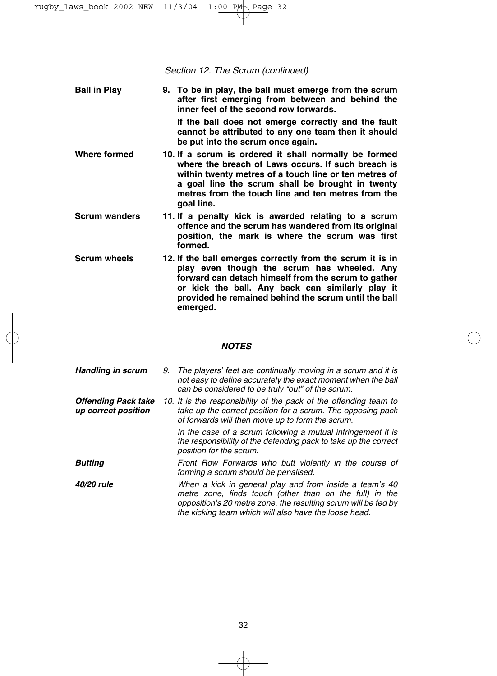*Section 12. The Scrum (continued)*

| <b>Ball in Play</b>  | 9. To be in play, the ball must emerge from the scrum<br>after first emerging from between and behind the<br>inner feet of the second row forwards.<br>If the ball does not emerge correctly and the fault                                                                                   |
|----------------------|----------------------------------------------------------------------------------------------------------------------------------------------------------------------------------------------------------------------------------------------------------------------------------------------|
|                      | cannot be attributed to any one team then it should<br>be put into the scrum once again.                                                                                                                                                                                                     |
| Where formed         | 10. If a scrum is ordered it shall normally be formed<br>where the breach of Laws occurs. If such breach is<br>within twenty metres of a touch line or ten metres of<br>a goal line the scrum shall be brought in twenty<br>metres from the touch line and ten metres from the<br>goal line. |
| <b>Scrum wanders</b> | 11. If a penalty kick is awarded relating to a scrum<br>offence and the scrum has wandered from its original<br>position, the mark is where the scrum was first<br>formed.                                                                                                                   |
| <b>Scrum wheels</b>  | 12. If the ball emerges correctly from the scrum it is in<br>play even though the scrum has wheeled. Any<br>forward can detach himself from the scrum to gather<br>or kick the ball. Any back can similarly play it<br>provided he remained behind the scrum until the ball<br>emerged.      |

| <b>Handling in scrum</b>                          | 9. | The players' feet are continually moving in a scrum and it is<br>not easy to define accurately the exact moment when the ball<br>can be considered to be truly "out" of the scrum.                                                            |
|---------------------------------------------------|----|-----------------------------------------------------------------------------------------------------------------------------------------------------------------------------------------------------------------------------------------------|
| <b>Offending Pack take</b><br>up correct position |    | 10. It is the responsibility of the pack of the offending team to<br>take up the correct position for a scrum. The opposing pack<br>of forwards will then move up to form the scrum.                                                          |
|                                                   |    | In the case of a scrum following a mutual infringement it is<br>the responsibility of the defending pack to take up the correct<br>position for the scrum.                                                                                    |
| <b>Butting</b>                                    |    | Front Row Forwards who butt violently in the course of<br>forming a scrum should be penalised.                                                                                                                                                |
| 40/20 rule                                        |    | When a kick in general play and from inside a team's 40<br>metre zone, finds touch (other than on the full) in the<br>opposition's 20 metre zone, the resulting scrum will be fed by<br>the kicking team which will also have the loose head. |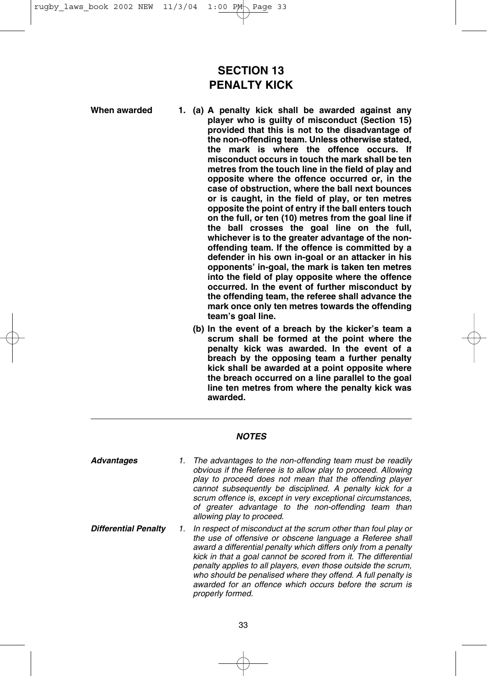rugby laws book 2002 NEW  $11/3/04$  1:00 PM Page 33

### **SECTION 13 PENALTY KICK**

- **When awarded 1. (a) A penalty kick shall be awarded against any player who is guilty of misconduct (Section 15) provided that this is not to the disadvantage of the non-offending team. Unless otherwise stated, the mark is where the offence occurs. If misconduct occurs in touch the mark shall be ten metres from the touch line in the field of play and opposite where the offence occurred or, in the case of obstruction, where the ball next bounces or is caught, in the field of play, or ten metres opposite the point of entry if the ball enters touch on the full, or ten (10) metres from the goal line if the ball crosses the goal line on the full, whichever is to the greater advantage of the nonoffending team. If the offence is committed by a defender in his own in-goal or an attacker in his opponents' in-goal, the mark is taken ten metres into the field of play opposite where the offence occurred. In the event of further misconduct by the offending team, the referee shall advance the mark once only ten metres towards the offending team's goal line.**
	- **(b) In the event of a breach by the kicker's team a scrum shall be formed at the point where the penalty kick was awarded. In the event of a breach by the opposing team a further penalty kick shall be awarded at a point opposite where the breach occurred on a line parallel to the goal line ten metres from where the penalty kick was awarded.**

#### *NOTES*

*Advantages 1. The advantages to the non-offending team must be readily obvious if the Referee is to allow play to proceed. Allowing play to proceed does not mean that the offending player cannot subsequently be disciplined. A penalty kick for a scrum offence is, except in very exceptional circumstances, of greater advantage to the non-offending team than allowing play to proceed.*

*Differential Penalty 1. In respect of misconduct at the scrum other than foul play or the use of offensive or obscene language a Referee shall award a differential penalty which differs only from a penalty kick in that a goal cannot be scored from it. The differential penalty applies to all players, even those outside the scrum, who should be penalised where they offend. A full penalty is awarded for an offence which occurs before the scrum is properly formed.*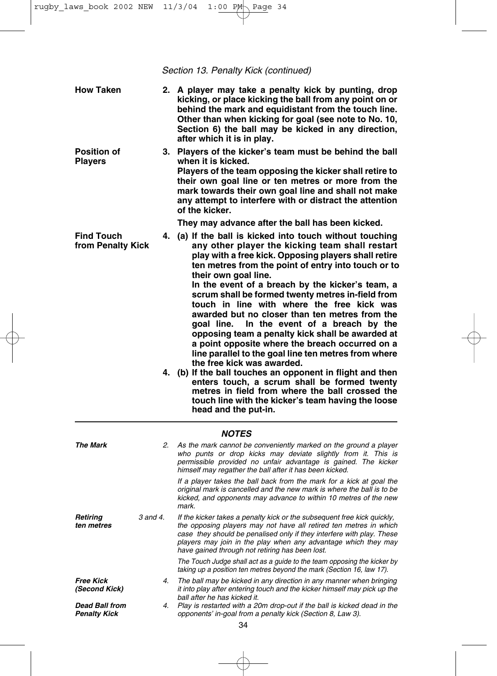*Section 13. Penalty Kick (continued)*

| <b>How Taken</b>                             |          | 2. A player may take a penalty kick by punting, drop<br>kicking, or place kicking the ball from any point on or<br>behind the mark and equidistant from the touch line.<br>Other than when kicking for goal (see note to No. 10,<br>Section 6) the ball may be kicked in any direction,<br>after which it is in play.                                                                                                                                                                                                                                                                                                                                                                                                                                                                                                                                                                                                                                |
|----------------------------------------------|----------|------------------------------------------------------------------------------------------------------------------------------------------------------------------------------------------------------------------------------------------------------------------------------------------------------------------------------------------------------------------------------------------------------------------------------------------------------------------------------------------------------------------------------------------------------------------------------------------------------------------------------------------------------------------------------------------------------------------------------------------------------------------------------------------------------------------------------------------------------------------------------------------------------------------------------------------------------|
| <b>Position of</b><br><b>Players</b>         |          | 3. Players of the kicker's team must be behind the ball<br>when it is kicked.<br>Players of the team opposing the kicker shall retire to<br>their own goal line or ten metres or more from the<br>mark towards their own goal line and shall not make<br>any attempt to interfere with or distract the attention<br>of the kicker.                                                                                                                                                                                                                                                                                                                                                                                                                                                                                                                                                                                                                   |
|                                              |          | They may advance after the ball has been kicked.                                                                                                                                                                                                                                                                                                                                                                                                                                                                                                                                                                                                                                                                                                                                                                                                                                                                                                     |
| <b>Find Touch</b><br>from Penalty Kick       |          | 4. (a) If the ball is kicked into touch without touching<br>any other player the kicking team shall restart<br>play with a free kick. Opposing players shall retire<br>ten metres from the point of entry into touch or to<br>their own goal line.<br>In the event of a breach by the kicker's team, a<br>scrum shall be formed twenty metres in-field from<br>touch in line with where the free kick was<br>awarded but no closer than ten metres from the<br>goal line. In the event of a breach by the<br>opposing team a penalty kick shall be awarded at<br>a point opposite where the breach occurred on a<br>line parallel to the goal line ten metres from where<br>the free kick was awarded.<br>4. (b) If the ball touches an opponent in flight and then<br>enters touch, a scrum shall be formed twenty<br>metres in field from where the ball crossed the<br>touch line with the kicker's team having the loose<br>head and the put-in. |
|                                              |          | <b>NOTES</b>                                                                                                                                                                                                                                                                                                                                                                                                                                                                                                                                                                                                                                                                                                                                                                                                                                                                                                                                         |
| <b>The Mark</b>                              | 2.       | As the mark cannot be conveniently marked on the ground a player<br>who punts or drop kicks may deviate slightly from it. This is<br>permissible provided no unfair advantage is gained. The kicker<br>himself may regather the ball after it has been kicked.                                                                                                                                                                                                                                                                                                                                                                                                                                                                                                                                                                                                                                                                                       |
|                                              |          | If a player takes the ball back from the mark for a kick at goal the<br>original mark is cancelled and the new mark is where the ball is to be<br>kicked, and opponents may advance to within 10 metres of the new<br>mark.                                                                                                                                                                                                                                                                                                                                                                                                                                                                                                                                                                                                                                                                                                                          |
| Retiring<br>ten metres                       | 3 and 4. | If the kicker takes a penalty kick or the subsequent free kick quickly,<br>the opposing players may not have all retired ten metres in which<br>case they should be penalised only if they interfere with play. These<br>players may join in the play when any advantage which they may<br>have gained through not retiring has been lost.                                                                                                                                                                                                                                                                                                                                                                                                                                                                                                                                                                                                           |
|                                              |          | The Touch Judge shall act as a guide to the team opposing the kicker by<br>taking up a position ten metres beyond the mark (Section 16, law 17).                                                                                                                                                                                                                                                                                                                                                                                                                                                                                                                                                                                                                                                                                                                                                                                                     |
| <b>Free Kick</b><br>(Second Kick)            | 4.       | The ball may be kicked in any direction in any manner when bringing<br>it into play after entering touch and the kicker himself may pick up the<br>ball after he has kicked it.                                                                                                                                                                                                                                                                                                                                                                                                                                                                                                                                                                                                                                                                                                                                                                      |
| <b>Dead Ball from</b><br><b>Penalty Kick</b> | 4.       | Play is restarted with a 20m drop-out if the ball is kicked dead in the<br>opponents' in-goal from a penalty kick (Section 8, Law 3).<br>34                                                                                                                                                                                                                                                                                                                                                                                                                                                                                                                                                                                                                                                                                                                                                                                                          |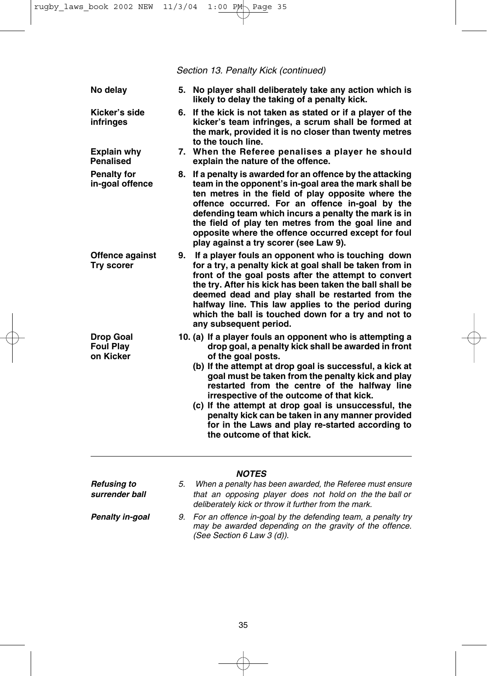*Section 13. Penalty Kick (continued)*

| No delay                                          |    | 5. No player shall deliberately take any action which is<br>likely to delay the taking of a penalty kick.                                                                                                                                                                                                                                                                                                                                                                                                                                          |
|---------------------------------------------------|----|----------------------------------------------------------------------------------------------------------------------------------------------------------------------------------------------------------------------------------------------------------------------------------------------------------------------------------------------------------------------------------------------------------------------------------------------------------------------------------------------------------------------------------------------------|
| Kicker's side<br>infringes                        |    | 6. If the kick is not taken as stated or if a player of the<br>kicker's team infringes, a scrum shall be formed at<br>the mark, provided it is no closer than twenty metres<br>to the touch line.                                                                                                                                                                                                                                                                                                                                                  |
| <b>Explain why</b><br><b>Penalised</b>            |    | 7. When the Referee penalises a player he should<br>explain the nature of the offence.                                                                                                                                                                                                                                                                                                                                                                                                                                                             |
| <b>Penalty for</b><br>in-goal offence             | 8. | If a penalty is awarded for an offence by the attacking<br>team in the opponent's in-goal area the mark shall be<br>ten metres in the field of play opposite where the<br>offence occurred. For an offence in-goal by the<br>defending team which incurs a penalty the mark is in<br>the field of play ten metres from the goal line and<br>opposite where the offence occurred except for foul<br>play against a try scorer (see Law 9).                                                                                                          |
| Offence against<br><b>Try scorer</b>              |    | 9. If a player fouls an opponent who is touching down<br>for a try, a penalty kick at goal shall be taken from in<br>front of the goal posts after the attempt to convert<br>the try. After his kick has been taken the ball shall be<br>deemed dead and play shall be restarted from the<br>halfway line. This law applies to the period during<br>which the ball is touched down for a try and not to<br>any subsequent period.                                                                                                                  |
| <b>Drop Goal</b><br><b>Foul Play</b><br>on Kicker |    | 10. (a) If a player fouls an opponent who is attempting a<br>drop goal, a penalty kick shall be awarded in front<br>of the goal posts.<br>(b) If the attempt at drop goal is successful, a kick at<br>goal must be taken from the penalty kick and play<br>restarted from the centre of the halfway line<br>irrespective of the outcome of that kick.<br>(c) If the attempt at drop goal is unsuccessful, the<br>penalty kick can be taken in any manner provided<br>for in the Laws and play re-started according to<br>the outcome of that kick. |
|                                                   |    |                                                                                                                                                                                                                                                                                                                                                                                                                                                                                                                                                    |

| Refusing to<br>surrender ball | 5. When a penalty has been awarded, the Referee must ensure<br>that an opposing player does not hold on the the ball or<br>deliberately kick or throw it further from the mark. |
|-------------------------------|---------------------------------------------------------------------------------------------------------------------------------------------------------------------------------|
| Penalty in-goal               | 9. For an offence in-goal by the defending team, a penalty try<br>may be awarded depending on the gravity of the offence.<br>(See Section 6 Law 3 (d)).                         |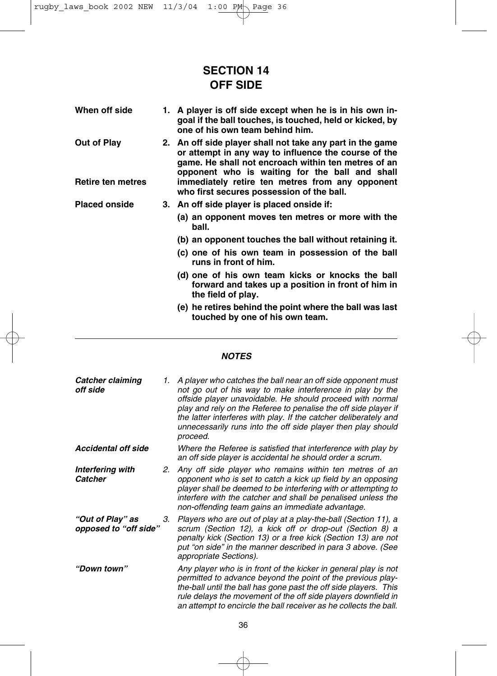$rugby\_laws\_book$  2002 NEW  $11/3/04$  1:00 PM Page 36

### **SECTION 14 OFF SIDE**

| When off side            | 1. A player is off side except when he is in his own in-<br>goal if the ball touches, is touched, held or kicked, by<br>one of his own team behind him.                                                                    |
|--------------------------|----------------------------------------------------------------------------------------------------------------------------------------------------------------------------------------------------------------------------|
| Out of Play              | 2. An off side player shall not take any part in the game<br>or attempt in any way to influence the course of the<br>game. He shall not encroach within ten metres of an<br>opponent who is waiting for the ball and shall |
| <b>Retire ten metres</b> | immediately retire ten metres from any opponent<br>who first secures possession of the ball.                                                                                                                               |
| <b>Placed onside</b>     | 3. An off side player is placed onside if:                                                                                                                                                                                 |
|                          | (a) an opponent moves ten metres or more with the<br>ball.                                                                                                                                                                 |
|                          | (b) an opponent touches the ball without retaining it.                                                                                                                                                                     |
|                          | (c) one of his own team in possession of the ball<br>runs in front of him.                                                                                                                                                 |
|                          | (d) one of his own team kicks or knocks the ball<br>forward and takes up a position in front of him in<br>the field of play.                                                                                               |
|                          | (e) he retires behind the point where the ball was last<br>touched by one of his own team.                                                                                                                                 |

| <b>Catcher claiming</b><br>off side       |    | 1. A player who catches the ball near an off side opponent must<br>not go out of his way to make interference in play by the<br>offside player unavoidable. He should proceed with normal<br>play and rely on the Referee to penalise the off side player if<br>the latter interferes with play. If the catcher deliberately and<br>unnecessarily runs into the off side player then play should<br>proceed. |
|-------------------------------------------|----|--------------------------------------------------------------------------------------------------------------------------------------------------------------------------------------------------------------------------------------------------------------------------------------------------------------------------------------------------------------------------------------------------------------|
| <b>Accidental off side</b>                |    | Where the Referee is satisfied that interference with play by<br>an off side player is accidental he should order a scrum.                                                                                                                                                                                                                                                                                   |
| Interfering with<br><b>Catcher</b>        |    | 2. Any off side player who remains within ten metres of an<br>opponent who is set to catch a kick up field by an opposing<br>player shall be deemed to be interfering with or attempting to<br>interfere with the catcher and shall be penalised unless the<br>non-offending team gains an immediate advantage.                                                                                              |
| "Out of Play" as<br>opposed to "off side" | З. | Players who are out of play at a play-the-ball (Section 11), a<br>scrum (Section 12), a kick off or drop-out (Section 8) a<br>penalty kick (Section 13) or a free kick (Section 13) are not<br>put "on side" in the manner described in para 3 above. (See<br>appropriate Sections).                                                                                                                         |
| "Down town"                               |    | Any player who is in front of the kicker in general play is not<br>permitted to advance beyond the point of the previous play-<br>the-ball until the ball has gone past the off side players. This<br>rule delays the movement of the off side players downfield in<br>an attempt to encircle the ball receiver as he collects the ball.                                                                     |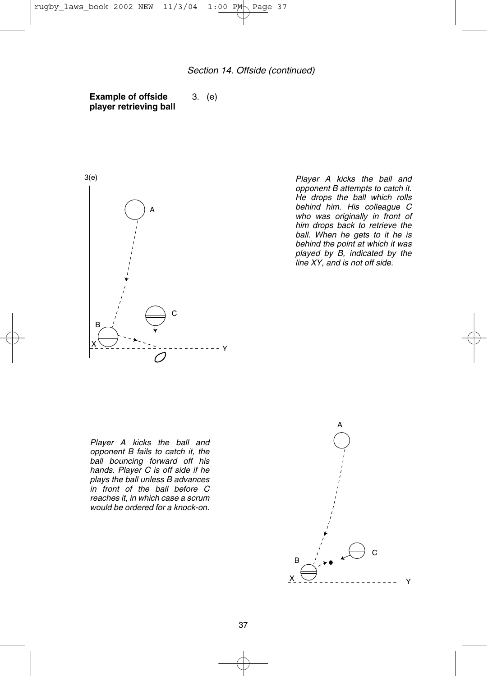*Section 14. Offside (continued)*

**Example of offside** 3. (e) **player retrieving ball**



*Player A kicks the ball and opponent B attempts to catch it. He drops the ball which rolls behind him. His colleague C who was originally in front of him drops back to retrieve the ball. When he gets to it he is behind the point at which it was played by B, indicated by the line XY, and is not off side.*

*Player A kicks the ball and opponent B fails to catch it, the ball bouncing forward off his hands. Player C is off side if he plays the ball unless B advances in front of the ball before C reaches it, in which case a scrum would be ordered for a knock-on.*

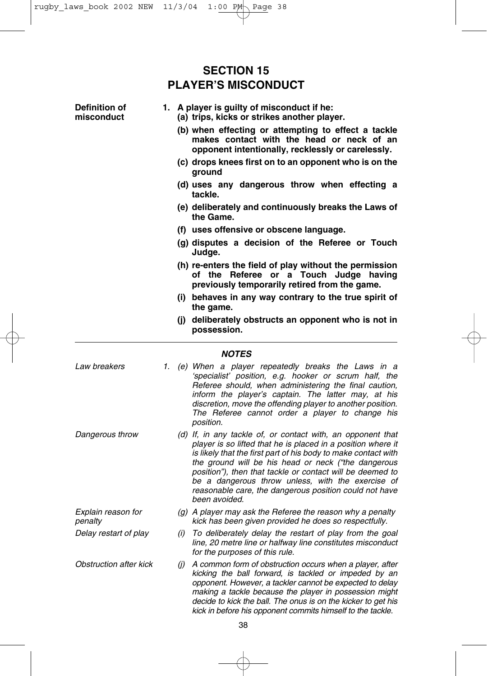## **SECTION 15 PLAYER'S MISCONDUCT**

| Definition of<br>misconduct | 1. A player is quilty of misconduct if he:<br>(a) trips, kicks or strikes another player.                                                             |
|-----------------------------|-------------------------------------------------------------------------------------------------------------------------------------------------------|
|                             | (b) when effecting or attempting to effect a tackle<br>makes contact with the head or neck of an<br>opponent intentionally, recklessly or carelessly. |
|                             | (c) drops knees first on to an opponent who is on the<br>ground                                                                                       |
|                             | (d) uses any dangerous throw when effecting a<br>tackle.                                                                                              |
|                             | (e) deliberately and continuously breaks the Laws of<br>the Game.                                                                                     |
|                             | (f) uses offensive or obscene language.                                                                                                               |
|                             | (g) disputes a decision of the Referee or Touch<br>Judge.                                                                                             |
|                             | (h) re-enters the field of play without the permission<br>of the Referee or a Touch Judge having<br>previously temporarily retired from the game.     |
|                             | (i) behaves in any way contrary to the true spirit of<br>the game.                                                                                    |
|                             | (i) deliberately obstructs an opponent who is not in<br>possession.                                                                                   |
|                             | <b>NOTES</b>                                                                                                                                          |

| Law breakers                  |     | 1. (e) When a player repeatedly breaks the Laws in a<br>'specialist' position, e.g. hooker or scrum half, the<br>Referee should, when administering the final caution,<br>inform the player's captain. The latter may, at his<br>discretion, move the offending player to another position.<br>The Referee cannot order a player to change his<br>position.                                                                                       |
|-------------------------------|-----|---------------------------------------------------------------------------------------------------------------------------------------------------------------------------------------------------------------------------------------------------------------------------------------------------------------------------------------------------------------------------------------------------------------------------------------------------|
| Dangerous throw               |     | (d) If, in any tackle of, or contact with, an opponent that<br>player is so lifted that he is placed in a position where it<br>is likely that the first part of his body to make contact with<br>the ground will be his head or neck ("the dangerous<br>position"), then that tackle or contact will be deemed to<br>be a dangerous throw unless, with the exercise of<br>reasonable care, the dangerous position could not have<br>been avoided. |
| Explain reason for<br>penalty |     | $(g)$ A player may ask the Referee the reason why a penalty<br>kick has been given provided he does so respectfully.                                                                                                                                                                                                                                                                                                                              |
| Delay restart of play         | (i) | To deliberately delay the restart of play from the goal<br>line, 20 metre line or halfway line constitutes misconduct<br>for the purposes of this rule.                                                                                                                                                                                                                                                                                           |
| <b>Obstruction after kick</b> | (j) | A common form of obstruction occurs when a player, after<br>kicking the ball forward, is tackled or impeded by an<br>opponent. However, a tackler cannot be expected to delay<br>making a tackle because the player in possession might<br>decide to kick the ball. The onus is on the kicker to get his<br>kick in before his opponent commits himself to the tackle.                                                                            |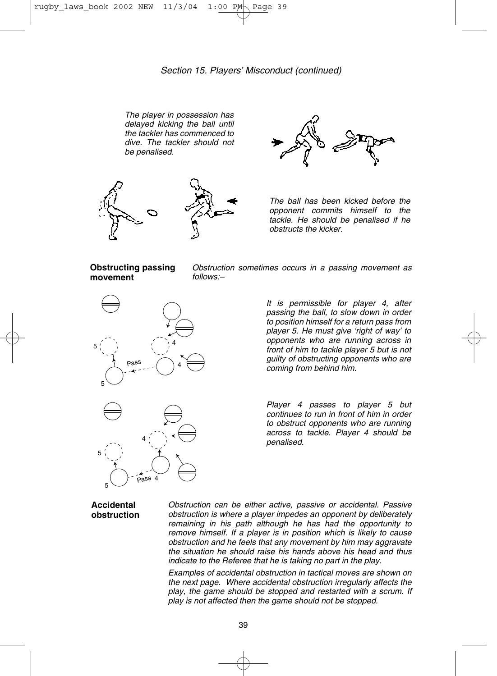#### *Section 15. Players' Misconduct (continued)*

*The player in possession has delayed kicking the ball until the tackler has commenced to dive. The tackler should not be penalised.*





*The ball has been kicked before the opponent commits himself to the tackle. He should be penalised if he obstructs the kicker.*

#### **Obstructing passing movement**

5 5 4 4 Pass



*Obstruction sometimes occurs in a passing movement as follows:–*

> *It is permissible for player 4, after passing the ball, to slow down in order to position himself for a return pass from player 5. He must give 'right of way' to opponents who are running across in front of him to tackle player 5 but is not guilty of obstructing opponents who are coming from behind him.*

> *Player 4 passes to player 5 but continues to run in front of him in order to obstruct opponents who are running across to tackle. Player 4 should be penalised.*

#### **Accidental obstruction**

*Obstruction can be either active, passive or accidental. Passive obstruction is where a player impedes an opponent by deliberately remaining in his path although he has had the opportunity to remove himself. If a player is in position which is likely to cause obstruction and he feels that any movement by him may aggravate the situation he should raise his hands above his head and thus indicate to the Referee that he is taking no part in the play.*

*Examples of accidental obstruction in tactical moves are shown on the next page. Where accidental obstruction irregularly affects the play, the game should be stopped and restarted with a scrum. If play is not affected then the game should not be stopped.*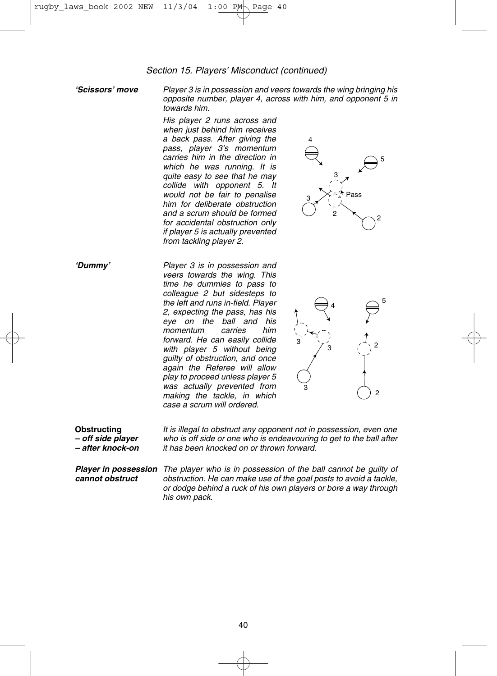#### *Section 15. Players' Misconduct (continued)*

*'Scissors' move Player 3 is in possession and veers towards the wing bringing his opposite number, player 4, across with him, and opponent 5 in towards him.*

> *His player 2 runs across and when just behind him receives a back pass. After giving the pass, player 3's momentum carries him in the direction in which he was running. It is quite easy to see that he may collide with opponent 5. It would not be fair to penalise him for deliberate obstruction and a scrum should be formed for accidental obstruction only if player 5 is actually prevented from tackling player 2.*



*'Dummy' Player 3 is in possession and veers towards the wing. This time he dummies to pass to colleague 2 but sidesteps to the left and runs in-field. Player 2, expecting the pass, has his eye on the ball and his momentum carries him forward. He can easily collide with player 5 without being guilty of obstruction, and once again the Referee will allow play to proceed unless player 5 was actually prevented from making the tackle, in which case a scrum will ordered.*



**Obstructing** *It is illegal to obstruct any opponent not in possession, even one – off side player who is off side or one who is endeavouring to get to the ball after – after knock-on it has been knocked on or thrown forward.*

*Player in possession The player who is in possession of the ball cannot be guilty of cannot obstruct obstruction. He can make use of the goal posts to avoid a tackle, or dodge behind a ruck of his own players or bore a way through his own pack.*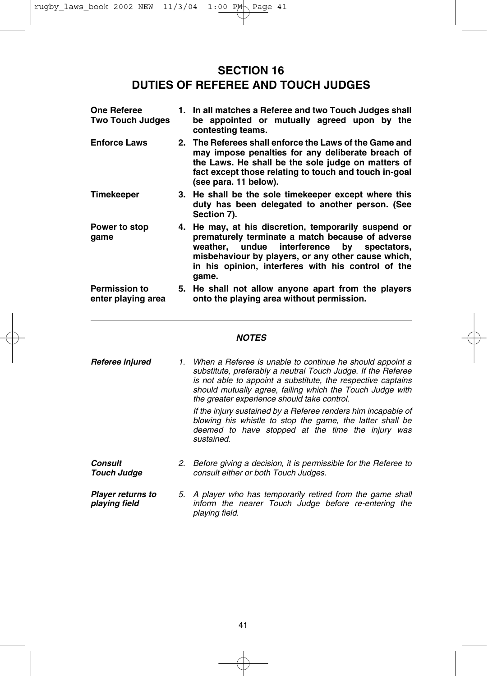# **SECTION 16 DUTIES OF REFEREE AND TOUCH JUDGES**

| <b>One Referee</b><br><b>Two Touch Judges</b> | 1. In all matches a Referee and two Touch Judges shall<br>be appointed or mutually agreed upon by the<br>contesting teams.                                                                                                                                                  |
|-----------------------------------------------|-----------------------------------------------------------------------------------------------------------------------------------------------------------------------------------------------------------------------------------------------------------------------------|
| <b>Enforce Laws</b>                           | 2. The Referees shall enforce the Laws of the Game and<br>may impose penalties for any deliberate breach of<br>the Laws. He shall be the sole judge on matters of<br>fact except those relating to touch and touch in-goal<br>(see para. 11 below).                         |
| Timekeeper                                    | 3. He shall be the sole timekeeper except where this<br>duty has been delegated to another person. (See<br>Section 7).                                                                                                                                                      |
| Power to stop<br>game                         | 4. He may, at his discretion, temporarily suspend or<br>prematurely terminate a match because of adverse<br>weather, undue interference by spectators,<br>misbehaviour by players, or any other cause which,<br>in his opinion, interferes with his control of the<br>game. |
| <b>Permission to</b><br>enter playing area    | 5. He shall not allow anyone apart from the players<br>onto the playing area without permission.                                                                                                                                                                            |

| Referee injured                    | 1. When a Referee is unable to continue he should appoint a<br>substitute, preferably a neutral Touch Judge. If the Referee<br>is not able to appoint a substitute, the respective captains<br>should mutually agree, failing which the Touch Judge with<br>the greater experience should take control. |
|------------------------------------|---------------------------------------------------------------------------------------------------------------------------------------------------------------------------------------------------------------------------------------------------------------------------------------------------------|
|                                    | If the injury sustained by a Referee renders him incapable of<br>blowing his whistle to stop the game, the latter shall be<br>deemed to have stopped at the time the injury was<br>sustained.                                                                                                           |
| Consult<br>Touch Judge             | 2. Before giving a decision, it is permissible for the Referee to<br>consult either or both Touch Judges.                                                                                                                                                                                               |
| Player returns to<br>playing field | 5. A player who has temporarily retired from the game shall<br>inform the nearer Touch Judge before re-entering the<br>playing field.                                                                                                                                                                   |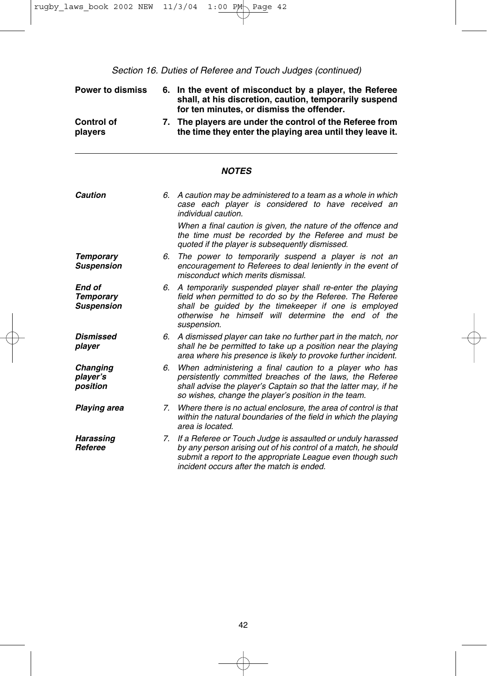| <b>Power to dismiss</b>      | 6. In the event of misconduct by a player, the Referee<br>shall, at his discretion, caution, temporarily suspend<br>for ten minutes, or dismiss the offender. |
|------------------------------|---------------------------------------------------------------------------------------------------------------------------------------------------------------|
| <b>Control of</b><br>players | 7. The players are under the control of the Referee from<br>the time they enter the playing area until they leave it.                                         |

| Caution                                         |    | 6. A caution may be administered to a team as a whole in which<br>case each player is considered to have received an<br>individual caution.                                                                                                         |
|-------------------------------------------------|----|-----------------------------------------------------------------------------------------------------------------------------------------------------------------------------------------------------------------------------------------------------|
|                                                 |    | When a final caution is given, the nature of the offence and<br>the time must be recorded by the Referee and must be<br>quoted if the player is subsequently dismissed.                                                                             |
| <b>Temporary</b><br><b>Suspension</b>           | 6. | The power to temporarily suspend a player is not an<br>encouragement to Referees to deal leniently in the event of<br>misconduct which merits dismissal.                                                                                            |
| <b>End of</b><br>Temporary<br><b>Suspension</b> | 6. | A temporarily suspended player shall re-enter the playing<br>field when permitted to do so by the Referee. The Referee<br>shall be guided by the timekeeper if one is employed<br>otherwise he himself will determine the end of the<br>suspension. |
| <b>Dismissed</b><br>player                      | 6. | A dismissed player can take no further part in the match, nor<br>shall he be permitted to take up a position near the playing<br>area where his presence is likely to provoke further incident.                                                     |
| Changing<br>player's<br>position                | 6. | When administering a final caution to a player who has<br>persistently committed breaches of the laws, the Referee<br>shall advise the player's Captain so that the latter may, if he<br>so wishes, change the player's position in the team.       |
| Playing area                                    | 7. | Where there is no actual enclosure, the area of control is that<br>within the natural boundaries of the field in which the playing<br>area is located.                                                                                              |
| <b>Harassing</b><br>Referee                     | 7. | If a Referee or Touch Judge is assaulted or unduly harassed<br>by any person arising out of his control of a match, he should<br>submit a report to the appropriate League even though such<br>incident occurs after the match is ended.            |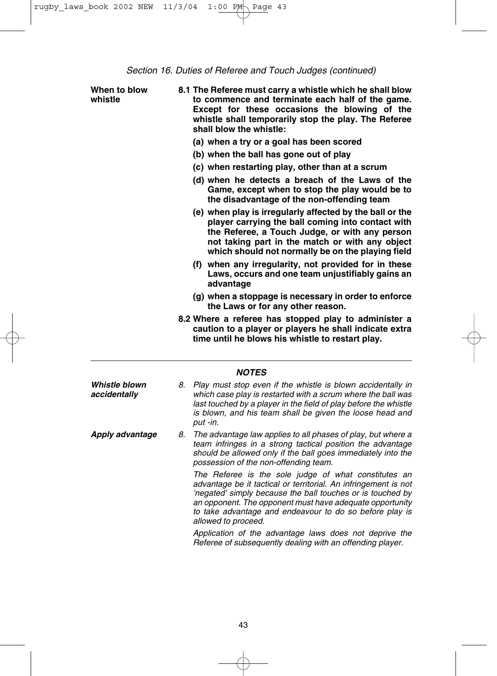| When to blow<br>whistle              | 8.1 The Referee must carry a whistle which he shall blow<br>to commence and terminate each half of the game.<br>Except for these occasions the blowing of the<br>whistle shall temporarily stop the play. The Referee<br>shall blow the whistle:                                                                                    |  |  |  |  |
|--------------------------------------|-------------------------------------------------------------------------------------------------------------------------------------------------------------------------------------------------------------------------------------------------------------------------------------------------------------------------------------|--|--|--|--|
|                                      | (a) when a try or a goal has been scored                                                                                                                                                                                                                                                                                            |  |  |  |  |
|                                      | (b) when the ball has gone out of play                                                                                                                                                                                                                                                                                              |  |  |  |  |
|                                      | (c) when restarting play, other than at a scrum                                                                                                                                                                                                                                                                                     |  |  |  |  |
|                                      | (d) when he detects a breach of the Laws of the<br>Game, except when to stop the play would be to<br>the disadvantage of the non-offending team                                                                                                                                                                                     |  |  |  |  |
|                                      | (e) when play is irregularly affected by the ball or the<br>player carrying the ball coming into contact with<br>the Referee, a Touch Judge, or with any person<br>not taking part in the match or with any object<br>which should not normally be on the playing field                                                             |  |  |  |  |
|                                      | (f) when any irregularity, not provided for in these<br>Laws, occurs and one team unjustifiably gains an<br>advantage                                                                                                                                                                                                               |  |  |  |  |
|                                      | (g) when a stoppage is necessary in order to enforce<br>the Laws or for any other reason.                                                                                                                                                                                                                                           |  |  |  |  |
|                                      | 8.2 Where a referee has stopped play to administer a<br>caution to a player or players he shall indicate extra<br>time until he blows his whistle to restart play.                                                                                                                                                                  |  |  |  |  |
|                                      | <b>NOTES</b>                                                                                                                                                                                                                                                                                                                        |  |  |  |  |
| <b>Whistle blown</b><br>accidentally | Play must stop even if the whistle is blown accidentally in<br>8.<br>which case play is restarted with a scrum where the ball was<br>last touched by a player in the field of play before the whistle<br>is blown, and his team shall be given the loose head and<br>put -in.                                                       |  |  |  |  |
| Apply advantage                      | The advantage law applies to all phases of play, but where a<br>8.<br>team infringes in a strong tactical position the advantage<br>should be allowed only if the ball goes immediately into the<br>possession of the non-offending team.                                                                                           |  |  |  |  |
|                                      | The Referee is the sole judge of what constitutes an<br>advantage be it tactical or territorial. An infringement is not<br>'negated' simply because the ball touches or is touched by<br>an opponent. The opponent must have adequate opportunity<br>to take advantage and endeavour to do so before play is<br>allowed to proceed. |  |  |  |  |
|                                      | Application of the advantage laws does not deprive the<br>Referee of subsequently dealing with an offending player.                                                                                                                                                                                                                 |  |  |  |  |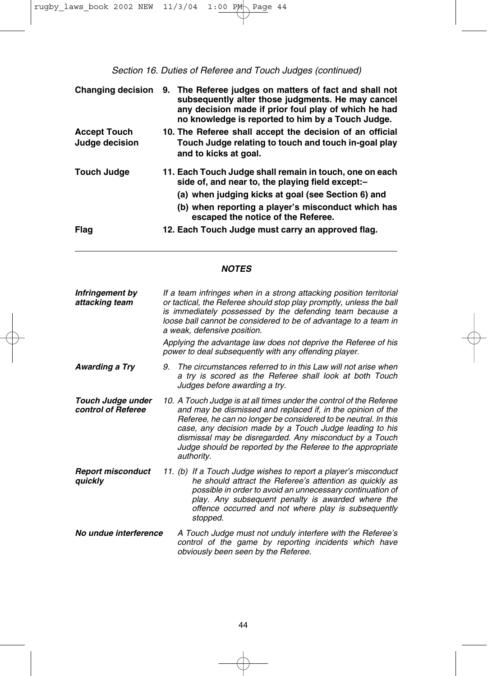| <b>Changing decision</b>              | 9. The Referee judges on matters of fact and shall not<br>subsequently alter those judgments. He may cancel<br>any decision made if prior foul play of which he had<br>no knowledge is reported to him by a Touch Judge. |
|---------------------------------------|--------------------------------------------------------------------------------------------------------------------------------------------------------------------------------------------------------------------------|
| <b>Accept Touch</b><br>Judge decision | 10. The Referee shall accept the decision of an official<br>Touch Judge relating to touch and touch in-goal play<br>and to kicks at goal.                                                                                |
| Touch Judge                           | 11. Each Touch Judge shall remain in touch, one on each<br>side of, and near to, the playing field except:-                                                                                                              |
|                                       | (a) when judging kicks at goal (see Section 6) and                                                                                                                                                                       |
|                                       | (b) when reporting a player's misconduct which has<br>escaped the notice of the Referee.                                                                                                                                 |
| Flag                                  | 12. Each Touch Judge must carry an approved flag.                                                                                                                                                                        |

| Infringement by<br>attacking team              | If a team infringes when in a strong attacking position territorial<br>or tactical, the Referee should stop play promptly, unless the ball<br>is immediately possessed by the defending team because a<br>loose ball cannot be considered to be of advantage to a team in<br>a weak, defensive position.<br>Applying the advantage law does not deprive the Referee of his |                                                                                                                                                                                                                                                                                                                                                                                                       |
|------------------------------------------------|----------------------------------------------------------------------------------------------------------------------------------------------------------------------------------------------------------------------------------------------------------------------------------------------------------------------------------------------------------------------------|-------------------------------------------------------------------------------------------------------------------------------------------------------------------------------------------------------------------------------------------------------------------------------------------------------------------------------------------------------------------------------------------------------|
|                                                |                                                                                                                                                                                                                                                                                                                                                                            | power to deal subsequently with any offending player.                                                                                                                                                                                                                                                                                                                                                 |
| Awarding a Try                                 | 9.                                                                                                                                                                                                                                                                                                                                                                         | The circumstances referred to in this Law will not arise when<br>a try is scored as the Referee shall look at both Touch<br>Judges before awarding a try.                                                                                                                                                                                                                                             |
| <b>Touch Judge under</b><br>control of Referee |                                                                                                                                                                                                                                                                                                                                                                            | 10. A Touch Judge is at all times under the control of the Referee<br>and may be dismissed and replaced if, in the opinion of the<br>Referee, he can no longer be considered to be neutral. In this<br>case, any decision made by a Touch Judge leading to his<br>dismissal may be disregarded. Any misconduct by a Touch<br>Judge should be reported by the Referee to the appropriate<br>authority. |
| <b>Report misconduct</b><br>quickly            |                                                                                                                                                                                                                                                                                                                                                                            | 11. (b) If a Touch Judge wishes to report a player's misconduct<br>he should attract the Referee's attention as quickly as<br>possible in order to avoid an unnecessary continuation of<br>play. Any subsequent penalty is awarded where the<br>offence occurred and not where play is subsequently<br>stopped.                                                                                       |
| No undue interference                          |                                                                                                                                                                                                                                                                                                                                                                            | A Touch Judge must not unduly interfere with the Referee's<br>control of the game by reporting incidents which have<br>obviously been seen by the Referee.                                                                                                                                                                                                                                            |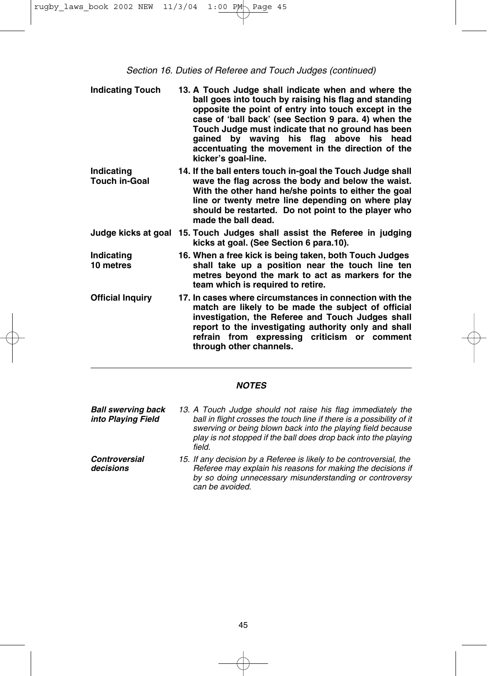| <b>Indicating Touch</b>            | 13. A Touch Judge shall indicate when and where the<br>ball goes into touch by raising his flag and standing<br>opposite the point of entry into touch except in the<br>case of 'ball back' (see Section 9 para. 4) when the<br>Touch Judge must indicate that no ground has been<br>gained by waving his flag above his head<br>accentuating the movement in the direction of the<br>kicker's goal-line. |
|------------------------------------|-----------------------------------------------------------------------------------------------------------------------------------------------------------------------------------------------------------------------------------------------------------------------------------------------------------------------------------------------------------------------------------------------------------|
| Indicating<br><b>Touch in-Goal</b> | 14. If the ball enters touch in-goal the Touch Judge shall<br>wave the flag across the body and below the waist.<br>With the other hand he/she points to either the goal<br>line or twenty metre line depending on where play<br>should be restarted. Do not point to the player who<br>made the ball dead.                                                                                               |
| Judge kicks at goal                | 15. Touch Judges shall assist the Referee in judging<br>kicks at goal. (See Section 6 para.10).                                                                                                                                                                                                                                                                                                           |
| Indicating<br>10 metres            | 16. When a free kick is being taken, both Touch Judges<br>shall take up a position near the touch line ten<br>metres beyond the mark to act as markers for the<br>team which is required to retire.                                                                                                                                                                                                       |
| <b>Official Inquiry</b>            | 17. In cases where circumstances in connection with the<br>match are likely to be made the subject of official<br>investigation, the Referee and Touch Judges shall<br>report to the investigating authority only and shall<br>refrain from expressing criticism or comment<br>through other channels.                                                                                                    |

| <b>Ball swerving back</b><br>into Playing Field | 13. A Touch Judge should not raise his flag immediately the<br>ball in flight crosses the touch line if there is a possibility of it<br>swerving or being blown back into the playing field because<br>play is not stopped if the ball does drop back into the playing<br>field. |
|-------------------------------------------------|----------------------------------------------------------------------------------------------------------------------------------------------------------------------------------------------------------------------------------------------------------------------------------|
| Controversial<br>decisions                      | 15. If any decision by a Referee is likely to be controversial, the<br>Referee may explain his reasons for making the decisions if<br>by so doing unnecessary misunderstanding or controversy<br>can be avoided.                                                                 |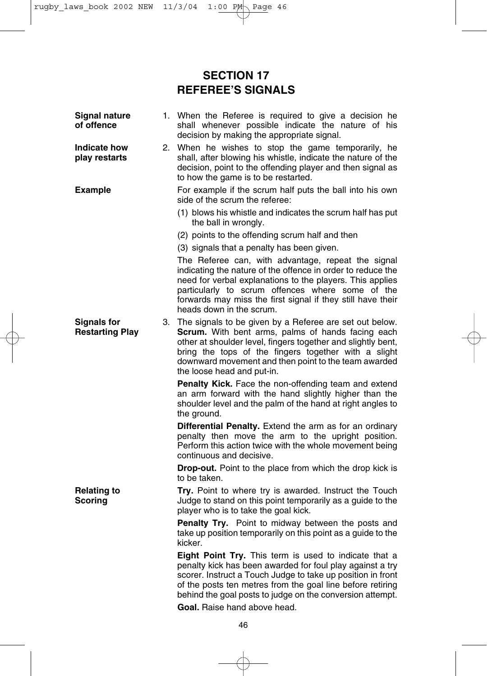$rugby\_laws\_book$  2002 NEW  $11/3/04$  1:00 PM Page 46

# **SECTION 17 REFEREE'S SIGNALS**

| <b>Signal nature</b><br>of offence           |    | 1. When the Referee is required to give a decision he<br>shall whenever possible indicate the nature of his<br>decision by making the appropriate signal.                                                                                                                                                                     |
|----------------------------------------------|----|-------------------------------------------------------------------------------------------------------------------------------------------------------------------------------------------------------------------------------------------------------------------------------------------------------------------------------|
| Indicate how<br>play restarts                | 2. | When he wishes to stop the game temporarily, he<br>shall, after blowing his whistle, indicate the nature of the<br>decision, point to the offending player and then signal as<br>to how the game is to be restarted.                                                                                                          |
| <b>Example</b>                               |    | For example if the scrum half puts the ball into his own<br>side of the scrum the referee:                                                                                                                                                                                                                                    |
|                                              |    | (1) blows his whistle and indicates the scrum half has put<br>the ball in wrongly.                                                                                                                                                                                                                                            |
|                                              |    | (2) points to the offending scrum half and then                                                                                                                                                                                                                                                                               |
|                                              |    | (3) signals that a penalty has been given.                                                                                                                                                                                                                                                                                    |
|                                              |    | The Referee can, with advantage, repeat the signal<br>indicating the nature of the offence in order to reduce the<br>need for verbal explanations to the players. This applies<br>particularly to scrum offences where some of the<br>forwards may miss the first signal if they still have their<br>heads down in the scrum. |
| <b>Signals for</b><br><b>Restarting Play</b> | З. | The signals to be given by a Referee are set out below.<br>Scrum. With bent arms, palms of hands facing each<br>other at shoulder level, fingers together and slightly bent,<br>bring the tops of the fingers together with a slight<br>downward movement and then point to the team awarded<br>the loose head and put-in.    |
|                                              |    | <b>Penalty Kick.</b> Face the non-offending team and extend<br>an arm forward with the hand slightly higher than the<br>shoulder level and the palm of the hand at right angles to<br>the ground.                                                                                                                             |
|                                              |    | Differential Penalty. Extend the arm as for an ordinary<br>penalty then move the arm to the upright position.<br>Perform this action twice with the whole movement being<br>continuous and decisive.                                                                                                                          |
|                                              |    | <b>Drop-out.</b> Point to the place from which the drop kick is<br>to be taken.                                                                                                                                                                                                                                               |
| <b>Relating to</b><br>Scoring                |    | Try. Point to where try is awarded. Instruct the Touch<br>Judge to stand on this point temporarily as a guide to the<br>player who is to take the goal kick.                                                                                                                                                                  |
|                                              |    | <b>Penalty Try.</b> Point to midway between the posts and<br>take up position temporarily on this point as a guide to the<br>kicker.                                                                                                                                                                                          |
|                                              |    | <b>Eight Point Try.</b> This term is used to indicate that a<br>penalty kick has been awarded for foul play against a try<br>scorer. Instruct a Touch Judge to take up position in front<br>of the posts ten metres from the goal line before retiring<br>behind the goal posts to judge on the conversion attempt.           |
|                                              |    | Goal. Raise hand above head.                                                                                                                                                                                                                                                                                                  |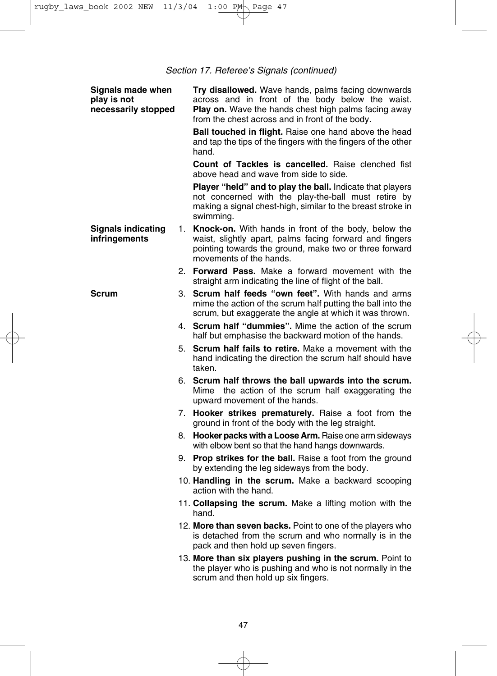| Section 17. Referee's Signals (continued) |  |  |  |
|-------------------------------------------|--|--|--|
|-------------------------------------------|--|--|--|

| Signals made when<br>play is not<br>necessarily stopped |    | Try disallowed. Wave hands, palms facing downwards<br>across and in front of the body below the waist.<br>Play on. Wave the hands chest high palms facing away<br>from the chest across and in front of the body. |
|---------------------------------------------------------|----|-------------------------------------------------------------------------------------------------------------------------------------------------------------------------------------------------------------------|
|                                                         |    | <b>Ball touched in flight.</b> Raise one hand above the head<br>and tap the tips of the fingers with the fingers of the other<br>hand.                                                                            |
|                                                         |    | <b>Count of Tackles is cancelled.</b> Raise clenched fist<br>above head and wave from side to side.                                                                                                               |
|                                                         |    | <b>Player "held" and to play the ball.</b> Indicate that players<br>not concerned with the play-the-ball must retire by<br>making a signal chest-high, similar to the breast stroke in<br>swimming.               |
| <b>Signals indicating</b><br>infringements              |    | 1. <b>Knock-on.</b> With hands in front of the body, below the<br>waist, slightly apart, palms facing forward and fingers<br>pointing towards the ground, make two or three forward<br>movements of the hands.    |
|                                                         |    | 2. Forward Pass. Make a forward movement with the<br>straight arm indicating the line of flight of the ball.                                                                                                      |
| Scrum                                                   | 3. | <b>Scrum half feeds "own feet".</b> With hands and arms<br>mime the action of the scrum half putting the ball into the<br>scrum, but exaggerate the angle at which it was thrown.                                 |
|                                                         |    | 4. Scrum half "dummies". Mime the action of the scrum<br>half but emphasise the backward motion of the hands.                                                                                                     |
|                                                         | 5. | <b>Scrum half fails to retire.</b> Make a movement with the<br>hand indicating the direction the scrum half should have<br>taken.                                                                                 |
|                                                         |    | 6. Scrum half throws the ball upwards into the scrum.<br>Mime the action of the scrum half exaggerating the<br>upward movement of the hands.                                                                      |
|                                                         |    | 7. Hooker strikes prematurely. Raise a foot from the<br>ground in front of the body with the leg straight.                                                                                                        |
|                                                         | 8. | <b>Hooker packs with a Loose Arm.</b> Raise one arm sideways<br>with elbow bent so that the hand hangs downwards.                                                                                                 |
|                                                         |    | 9. Prop strikes for the ball. Raise a foot from the ground<br>by extending the leg sideways from the body.                                                                                                        |
|                                                         |    | 10. Handling in the scrum. Make a backward scooping<br>action with the hand.                                                                                                                                      |
|                                                         |    | 11. Collapsing the scrum. Make a lifting motion with the<br>hand.                                                                                                                                                 |
|                                                         |    | 12. More than seven backs. Point to one of the players who<br>is detached from the scrum and who normally is in the<br>pack and then hold up seven fingers.                                                       |
|                                                         |    | 13. More than six players pushing in the scrum. Point to<br>the player who is pushing and who is not normally in the<br>scrum and then hold up six fingers.                                                       |

 $\overline{\varphi}$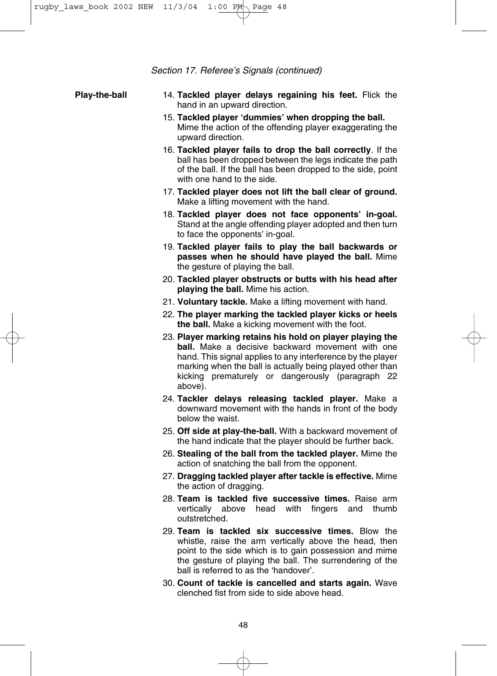*Section 17. Referee's Signals (continued)*

**Play-the-ball** 14. **Tackled player delays regaining his feet.** Flick the hand in an upward direction.

- 15. **Tackled player 'dummies' when dropping the ball.** Mime the action of the offending player exaggerating the upward direction.
- 16. **Tackled player fails to drop the ball correctly**. If the ball has been dropped between the legs indicate the path of the ball. If the ball has been dropped to the side, point with one hand to the side.
- 17. **Tackled player does not lift the ball clear of ground.** Make a lifting movement with the hand.
- 18. **Tackled player does not face opponents' in-goal.** Stand at the angle offending player adopted and then turn to face the opponents' in-goal.
- 19. **Tackled player fails to play the ball backwards or passes when he should have played the ball.** Mime the gesture of playing the ball.
- 20. **Tackled player obstructs or butts with his head after playing the ball.** Mime his action.
- 21. **Voluntary tackle.** Make a lifting movement with hand.
- 22. **The player marking the tackled player kicks or heels the ball.** Make a kicking movement with the foot.
- 23. **Player marking retains his hold on player playing the ball.** Make a decisive backward movement with one hand. This signal applies to any interference by the player marking when the ball is actually being played other than kicking prematurely or dangerously (paragraph 22 above).
- 24. **Tackler delays releasing tackled player.** Make a downward movement with the hands in front of the body below the waist.
- 25. **Off side at play-the-ball.** With a backward movement of the hand indicate that the player should be further back.
- 26. **Stealing of the ball from the tackled player.** Mime the action of snatching the ball from the opponent.
- 27. **Dragging tackled player after tackle is effective.** Mime the action of dragging.
- 28. **Team is tackled five successive times.** Raise arm vertically above head with fingers and thumb outstretched.
- 29. **Team is tackled six successive times.** Blow the whistle, raise the arm vertically above the head, then point to the side which is to gain possession and mime the gesture of playing the ball. The surrendering of the ball is referred to as the 'handover'.
- 30. **Count of tackle is cancelled and starts again.** Wave clenched fist from side to side above head.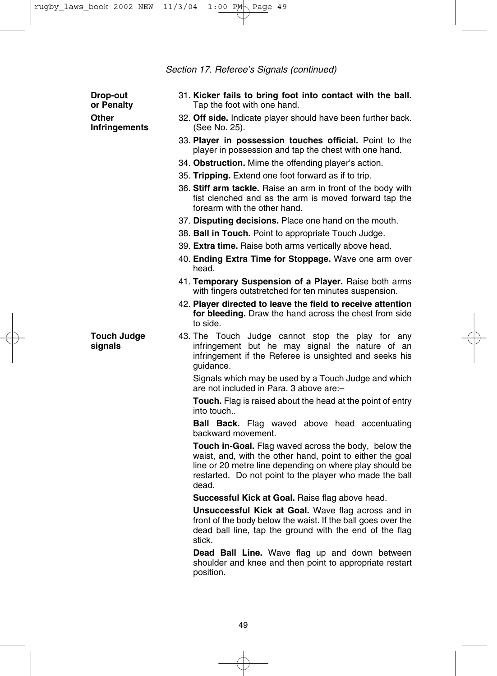*Section 17. Referee's Signals (continued)*

| Drop-out<br>or Penalty |
|------------------------|
| Other                  |
| Infringements          |

- **Drop-out** 31. **Kicker fails to bring foot into contact with the ball.** Tap the foot with one hand.
- 32. Off side. Indicate player should have been further back. **Infringements** (See No. 25).
- 33. **Player in possession touches official.** Point to the player in possession and tap the chest with one hand.
- 34. **Obstruction.** Mime the offending player's action.
- 35. **Tripping.** Extend one foot forward as if to trip.
- 36. **Stiff arm tackle.** Raise an arm in front of the body with fist clenched and as the arm is moved forward tap the forearm with the other hand.
- 37. **Disputing decisions.** Place one hand on the mouth.
- 38. **Ball in Touch.** Point to appropriate Touch Judge.
- 39. **Extra time.** Raise both arms vertically above head.
- 40. **Ending Extra Time for Stoppage.** Wave one arm over head.
- 41. **Temporary Suspension of a Player.** Raise both arms with fingers outstretched for ten minutes suspension.
- 42. **Player directed to leave the field to receive attention for bleeding.** Draw the hand across the chest from side to side.
- **Touch Judge** 43. The Touch Judge cannot stop the play for any signals **infringement** but he may signal the nature of an infringement if the Referee is unsighted and seeks his guidance.

Signals which may be used by a Touch Judge and which are not included in Para. 3 above are:–

**Touch.** Flag is raised about the head at the point of entry into touch..

**Ball Back.** Flag waved above head accentuating backward movement.

**Touch in-Goal.** Flag waved across the body, below the waist, and, with the other hand, point to either the goal line or 20 metre line depending on where play should be restarted. Do not point to the player who made the ball dead.

**Successful Kick at Goal.** Raise flag above head.

**Unsuccessful Kick at Goal.** Wave flag across and in front of the body below the waist. If the ball goes over the dead ball line, tap the ground with the end of the flag stick.

**Dead Ball Line.** Wave flag up and down between shoulder and knee and then point to appropriate restart position.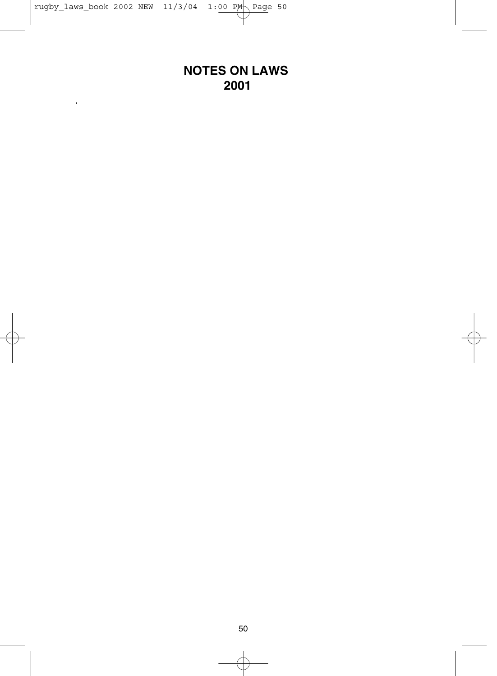# **NOTES ON LAWS 2001**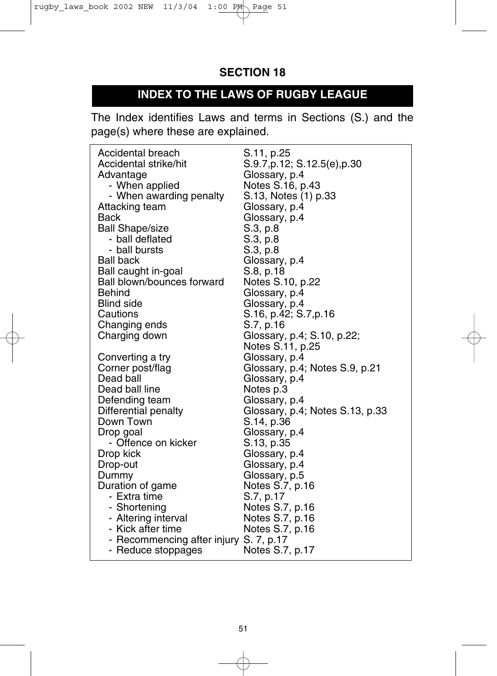### **SECTION 18**

# **INDEX TO THE LAWS OF RUGBY LEAGUE**

The Index identifies Laws and terms in Sections (S.) and the page(s) where these are explained.

| Accidental breach<br>Accidental strike/hit<br>Advantage<br>- When applied<br>- When awarding penalty<br>Attacking team<br>Back<br><b>Ball Shape/size</b><br>- ball deflated<br>- ball bursts<br><b>Ball back</b> | S.11, p.25<br>S.9.7, p.12; S.12.5(e), p.30<br>Glossary, p.4<br>Notes S.16, p.43<br>S.13, Notes (1) p.33<br>Glossary, p.4<br>Glossary, p.4<br>S.3, p.8<br>S.3, p.8<br>S.3, p.8<br>Glossary, p.4 |
|------------------------------------------------------------------------------------------------------------------------------------------------------------------------------------------------------------------|------------------------------------------------------------------------------------------------------------------------------------------------------------------------------------------------|
| Ball caught in-goal                                                                                                                                                                                              | S.8, p.18                                                                                                                                                                                      |
| Ball blown/bounces forward                                                                                                                                                                                       | Notes S.10, p.22                                                                                                                                                                               |
| <b>Behind</b>                                                                                                                                                                                                    | Glossary, p.4                                                                                                                                                                                  |
| <b>Blind side</b>                                                                                                                                                                                                | Glossary, p.4                                                                                                                                                                                  |
| Cautions                                                                                                                                                                                                         | S.16, p.42; S.7, p.16                                                                                                                                                                          |
| Changing ends                                                                                                                                                                                                    | S.7, p.16                                                                                                                                                                                      |
| Charging down                                                                                                                                                                                                    | Glossary, p.4; S.10, p.22;                                                                                                                                                                     |
|                                                                                                                                                                                                                  | Notes S.11, p.25                                                                                                                                                                               |
| Converting a try<br>Corner post/flag                                                                                                                                                                             | Glossary, p.4<br>Glossary, p.4; Notes S.9, p.21                                                                                                                                                |
| Dead ball                                                                                                                                                                                                        | Glossary, p.4                                                                                                                                                                                  |
| Dead ball line                                                                                                                                                                                                   | Notes p.3                                                                                                                                                                                      |
| Defending team                                                                                                                                                                                                   | Glossary, p.4                                                                                                                                                                                  |
| Differential penalty                                                                                                                                                                                             | Glossary, p.4; Notes S.13, p.33                                                                                                                                                                |
| Down Town                                                                                                                                                                                                        | S.14, p.36                                                                                                                                                                                     |
| Drop goal                                                                                                                                                                                                        | Glossary, p.4                                                                                                                                                                                  |
| - Offence on kicker                                                                                                                                                                                              | S.13, p.35                                                                                                                                                                                     |
| Drop kick                                                                                                                                                                                                        | Glossary, p.4                                                                                                                                                                                  |
| Drop-out                                                                                                                                                                                                         | Glossary, p.4                                                                                                                                                                                  |
| Dummy                                                                                                                                                                                                            | Glossary, p.5                                                                                                                                                                                  |
| Duration of game                                                                                                                                                                                                 | Notes S.7, p.16                                                                                                                                                                                |
| - Extra time                                                                                                                                                                                                     | S.7, p.17                                                                                                                                                                                      |
| - Shortening                                                                                                                                                                                                     | Notes S.7, p.16                                                                                                                                                                                |
| - Altering interval<br>- Kick after time                                                                                                                                                                         | Notes S.7, p.16<br>Notes S.7, p.16                                                                                                                                                             |
| - Recommencing after injury S. 7, p.17                                                                                                                                                                           |                                                                                                                                                                                                |
| - Reduce stoppages                                                                                                                                                                                               | Notes S.7, p.17                                                                                                                                                                                |
|                                                                                                                                                                                                                  |                                                                                                                                                                                                |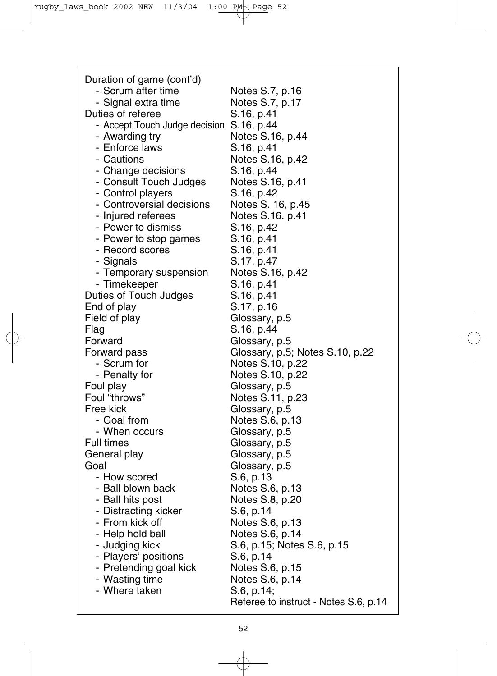| Duration of game (cont'd)                |                                       |
|------------------------------------------|---------------------------------------|
| - Scrum after time                       | Notes S.7, p.16                       |
| - Signal extra time                      | Notes S.7, p.17                       |
| Duties of referee                        | S.16, p.41                            |
| - Accept Touch Judge decision S.16, p.44 |                                       |
| - Awarding try                           | Notes S.16, p.44                      |
| - Enforce laws                           | S.16, p.41                            |
| - Cautions                               | Notes S.16, p.42                      |
| - Change decisions                       | S.16, p.44                            |
| - Consult Touch Judges                   | Notes S.16, p.41                      |
| - Control players                        | S.16, p.42                            |
| - Controversial decisions                | Notes S. 16, p.45                     |
| - Injured referees                       | Notes S.16. p.41                      |
| - Power to dismiss                       | S.16, p.42                            |
| - Power to stop games                    | S.16, p.41                            |
| - Record scores                          | S.16, p.41                            |
| - Signals                                | S.17, p.47                            |
| - Temporary suspension                   | Notes S.16, p.42                      |
| - Timekeeper                             | S.16, p.41                            |
| Duties of Touch Judges                   | S.16, p.41                            |
| End of play                              | S.17, p.16                            |
| Field of play                            | Glossary, p.5                         |
| Flag                                     | S.16, p.44                            |
| Forward                                  | Glossary, p.5                         |
| Forward pass                             | Glossary, p.5; Notes S.10, p.22       |
| - Scrum for                              | Notes S.10, p.22                      |
| - Penalty for                            | Notes S.10, p.22                      |
| Foul play<br>Foul "throws"               | Glossary, p.5                         |
| Free kick                                | Notes S.11, p.23                      |
| - Goal from                              | Glossary, p.5<br>Notes S.6, p.13      |
| - When occurs                            | Glossary, p.5                         |
| Full times                               | Glossary, p.5                         |
| General play                             | Glossary, p.5                         |
| Goal                                     | Glossary, p.5                         |
| - How scored                             | S.6, p.13                             |
| - Ball blown back                        | Notes S.6, p.13                       |
| - Ball hits post                         | Notes S.8, p.20                       |
| - Distracting kicker                     | S.6, p.14                             |
| - From kick off                          | Notes S.6, p.13                       |
| - Help hold ball                         | Notes S.6, p.14                       |
| - Judging kick                           | S.6, p.15; Notes S.6, p.15            |
| - Players' positions                     | S.6, p.14                             |
| - Pretending goal kick                   | Notes S.6, p.15                       |
| - Wasting time                           | Notes S.6, p.14                       |
| - Where taken                            | S.6, p.14;                            |
|                                          | Referee to instruct - Notes S.6, p.14 |
|                                          |                                       |

 $\oplus$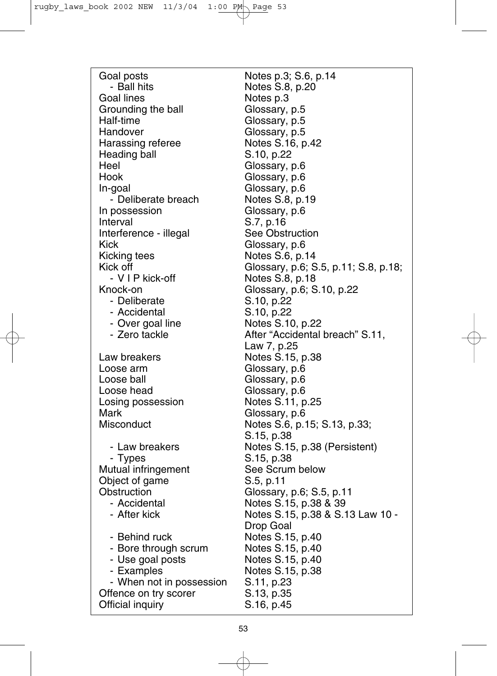Goal posts Notes p.3; S.6, p.14 - Ball hits Notes S.8, p.20 Goal lines Notes p.3 Grounding the ball Glossary, p.5 Half-time Glossary, p.5 Handover Glossary, p.5 Harassing referee Notes S.16, p.42 Heading ball S.10, p.22 Heel Glossary, p.6 Hook Glossary, p.6 In-goal Glossary, p.6 - Deliberate breach Notes S.8, p.19 In possession Glossary, p.6 Interval S.7, p.16<br>Interference - illegal See Obstruction Interference - illegal Kick Glossary, p.6 Kicking tees Notes S.6, p.14 Kick off Glossary, p.6; S.5, p.11; S.8, p.18;<br>VIP kick-off Notes S.8, p.18 Notes S.8, p.18 Knock-on Glossary, p.6; S.10, p.22 - Deliberate S.10, p.22 - Accidental S.10, p.22 - Over goal line Notes S.10, p.22 - Zero tackle **After "Accidental breach" S.11**, Law 7, p.25 Law breakers Notes S.15, p.38 Loose arm Glossary, p.6 Loose ball Glossary, p.6 Loose head Glossary, p.6 Losing possession Notes S.11, p.25 Mark Glossary, p.6 Misconduct Notes S.6, p.15; S.13, p.33; S.15, p.38 - Law breakers Notes S.15, p.38 (Persistent) - Types S.15, p.38 Mutual infringement See Scrum below Object of game S.5, p.11 Obstruction Glossary, p.6; S.5, p.11 - Accidental Notes S.15, p.38 & 39 - After kick Notes S.15, p.38 & S.13 Law 10 -Drop Goal - Behind ruck Notes S.15, p.40<br>- Bore through scrum Notes S.15, p.40 - Bore through scrum - Use goal posts Notes S.15, p.40 - Examples Notes S.15, p.38 - When not in possession S.11, p.23 Offence on try scorer S.13, p.35 Official inquiry S.16, p.45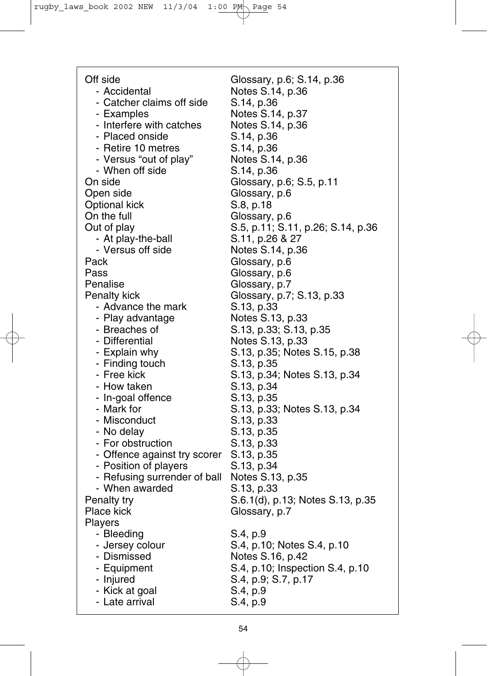| Off side                     | Glossary, p.6; S.14, p.36         |
|------------------------------|-----------------------------------|
| - Accidental                 | Notes S.14, p.36                  |
| - Catcher claims off side    | S.14, p.36                        |
| - Examples                   | Notes S.14, p.37                  |
| - Interfere with catches     | Notes S.14, p.36                  |
| - Placed onside              | S.14, p.36                        |
| - Retire 10 metres           | S.14, p.36                        |
| - Versus "out of play"       | Notes S.14, p.36                  |
| - When off side              | S.14, p.36                        |
| On side                      | Glossary, p.6; S.5, p.11          |
| Open side                    | Glossary, p.6                     |
| Optional kick                | S.8, p.18                         |
| On the full                  | Glossary, p.6                     |
| Out of play                  | S.5, p.11; S.11, p.26; S.14, p.36 |
| - At play-the-ball           | S.11, p.26 & 27                   |
| - Versus off side            | Notes S.14, p.36                  |
| Pack                         | Glossary, p.6                     |
| Pass                         | Glossary, p.6                     |
| Penalise                     | Glossary, p.7                     |
| Penalty kick                 | Glossary, p.7; S.13, p.33         |
| - Advance the mark           | S.13, p.33                        |
| - Play advantage             | Notes S.13, p.33                  |
| - Breaches of                | S.13, p.33; S.13, p.35            |
| - Differential               | Notes S.13, p.33                  |
| - Explain why                | S.13, p.35; Notes S.15, p.38      |
| - Finding touch              | S.13, p.35                        |
| - Free kick                  | S.13, p.34; Notes S.13, p.34      |
| - How taken                  | S.13, p.34                        |
| - In-goal offence            | S.13, p.35                        |
| - Mark for                   | S.13, p.33; Notes S.13, p.34      |
| - Misconduct                 | S.13, p.33                        |
| - No delay                   | S.13, p.35                        |
| - For obstruction            | S.13, p.33                        |
| - Offence against try scorer | S.13, p.35                        |
| - Position of players        | S.13, p.34                        |
| - Refusing surrender of ball | Notes S.13, p.35                  |
| - When awarded               | S.13, p.33                        |
| Penalty try                  | S.6.1(d), p.13; Notes S.13, p.35  |
| Place kick                   | Glossary, p.7                     |
| Players                      |                                   |
| - Bleeding                   | S.4, p.9                          |
| - Jersey colour              | S.4, p.10; Notes S.4, p.10        |
| - Dismissed                  | Notes S.16, p.42                  |
| - Equipment                  | S.4, p.10; Inspection S.4, p.10   |
| - Injured                    | S.4, p.9; S.7, p.17               |
| - Kick at goal               | S.4, p.9                          |
| - Late arrival               | S.4, p.9                          |

 $\displaystyle \bigoplus$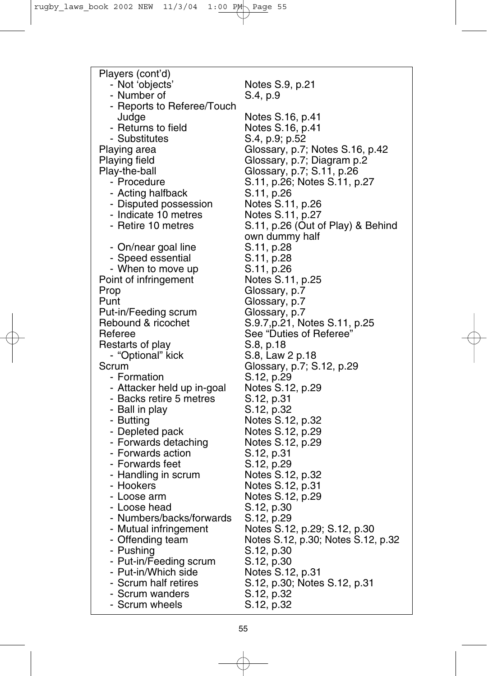Players (cont'd) - Not 'objects' Notes S.9, p.21 - Number of S.4, p.9 - Reports to Referee/Touch Judge Notes S.16, p.41 - Returns to field Notes S.16, p.41 - Substitutes S.4, p.9; p.52 Playing area Glossary, p.7; Notes S.16, p.42 Playing field Glossary, p.7; Diagram p.2 Play-the-ball Glossary, p.7; S.11, p.26 - Procedure S.11, p.26; Notes S.11, p.27 - Acting halfback S.11, p.26<br>- Disputed possession Notes S.11, p.26 - Disputed possession - Indicate 10 metres Notes S.11, p.27<br>- Retire 10 metres S.11, p.26 (Out c  $S.11$ , p.26 (Out of Play) & Behind own dummy half<br>S.11, p.28 - On/near goal line - Speed essential S.11, p.28 - When to move up S.11, p.26 Point of infringement Notes S.11, p.25 Prop Glossary, p.7 Punt Glossary, p.7 Put-in/Feeding scrum Glossary, p.7<br>Rebound & ricochet S.9.7,p.21, N Rebound & ricochet S.9.7, p.21, Notes S.11, p.25<br>Referee See "Duties of Referee" See "Duties of Referee" Restarts of play S.8, p.18 - "Optional" kick S.8, Law 2 p.18 Scrum Glossary, p.7; S.12, p.29 - Formation S.12, p.29 - Attacker held up in-goal Notes S.12, p.29 - Backs retire 5 metres S.12, p.31 - Ball in play S.12, p.32 - Butting Notes S.12, p.32 - Depleted pack Notes S.12, p.29 - Forwards detaching Notes S.12, p.29 - Forwards action S.12, p.31 - Forwards feet S.12, p.29 - Handling in scrum Notes S.12, p.32 - Hookers Notes S.12, p.31 - Loose arm Notes S.12, p.29 - Loose head S.12, p.30 - Numbers/backs/forwards S.12, p.29 - Mutual infringement Notes S.12, p.29; S.12, p.30<br>- Offending team Notes S.12, p.30; Notes S.12 Notes S.12, p.30; Notes S.12, p.32 - Pushing S.12, p.30 - Put-in/Feeding scrum S.12, p.30 - Put-in/Which side Notes S.12, p.31<br>- Scrum half retires S.12, p.30: Notes S.12, p.30; Notes S.12, p.31 - Scrum wanders S.12, p.32 - Scrum wheels S.12, p.32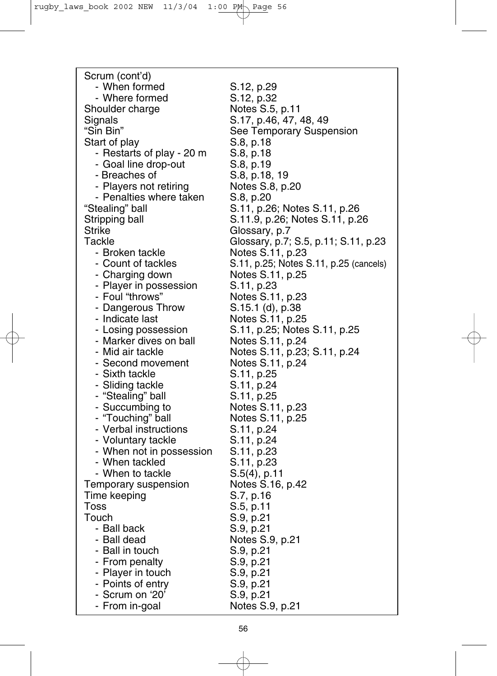| Scrum (cont'd)                                 |                                        |
|------------------------------------------------|----------------------------------------|
| - When formed                                  | S.12, p.29                             |
| - Where formed                                 | S.12, p.32                             |
| Shoulder charge                                | Notes S.5, p.11                        |
| Signals                                        | S.17, p.46, 47, 48, 49                 |
| "Sin Bin"                                      | See Temporary Suspension               |
| Start of play                                  | S.8, p.18                              |
| - Restarts of play - 20 m                      | S.8, p.18                              |
| - Goal line drop-out                           | S.8, p.19                              |
| - Breaches of                                  | S.8, p.18, 19                          |
| - Players not retiring                         | Notes S.8, p.20                        |
| - Penalties where taken                        | S.8, p.20                              |
| "Stealing" ball                                | S.11, p.26; Notes S.11, p.26           |
| Stripping ball                                 | S.11.9, p.26; Notes S.11, p.26         |
| Strike                                         | Glossary, p.7                          |
| Tackle                                         | Glossary, p.7; S.5, p.11; S.11, p.23   |
| - Broken tackle                                | Notes S.11, p.23                       |
| - Count of tackles                             | S.11, p.25; Notes S.11, p.25 (cancels) |
| - Charging down                                | Notes S.11, p.25                       |
| - Player in possession                         | S.11, p.23                             |
| - Foul "throws"                                | Notes S.11, p.23                       |
| - Dangerous Throw                              | S.15.1 (d), p.38                       |
| - Indicate last                                | Notes S.11, p.25                       |
| - Losing possession                            | S.11, p.25; Notes S.11, p.25           |
| - Marker dives on ball                         | Notes S.11, p.24                       |
| - Mid air tackle                               | Notes S.11, p.23; S.11, p.24           |
| - Second movement                              | Notes S.11, p.24                       |
| - Sixth tackle                                 | S.11, p.25                             |
| - Sliding tackle                               | S.11, p.24                             |
| - "Stealing" ball                              | S.11, p.25                             |
| - Succumbing to                                | Notes S.11, p.23                       |
| - "Touching" ball<br>- Verbal instructions     | Notes S.11, p.25                       |
|                                                | S.11, p.24                             |
| - Voluntary tackle<br>- When not in possession | S.11, p.24<br>S.11, p.23               |
| - When tackled                                 | S.11, p.23                             |
| - When to tackle                               | S.5(4), p.11                           |
| Temporary suspension                           | Notes S.16, p.42                       |
| Time keeping                                   | S.7, p.16                              |
| Toss                                           | S.5, p.11                              |
| Touch                                          | S.9, p.21                              |
| - Ball back                                    | S.9, p.21                              |
| - Ball dead                                    | Notes S.9, p.21                        |
| - Ball in touch                                | S.9, p.21                              |
| - From penalty                                 | S.9, p.21                              |
| - Player in touch                              | S.9, p.21                              |
| - Points of entry                              | S.9, p.21                              |
| - Scrum on '20'                                | S.9, p.21                              |
| - From in-goal                                 | Notes S.9, p.21                        |

 $\displaystyle \bigoplus$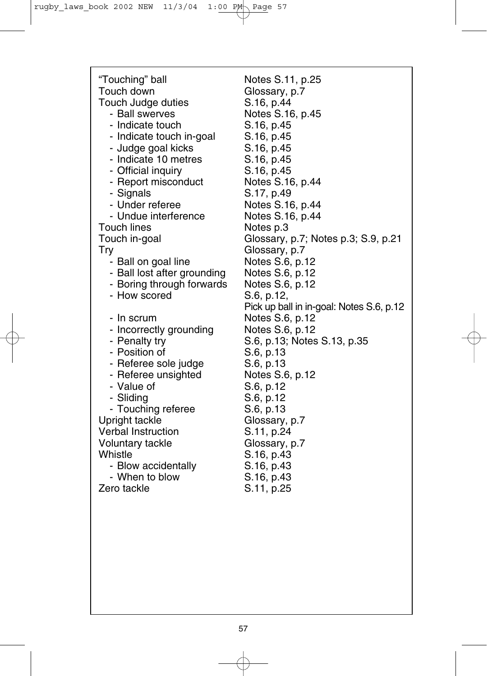"Touching" ball Notes S.11, p.25 Touch down Glossary, p.7 Touch Judge duties S.16, p.44 - Ball swerves Notes S.16, p.45 - Indicate touch S.16, p.45 - Indicate touch in-goal S.16, p.45 - Judge goal kicks S.16, p.45 - Indicate 10 metres S.16, p.45 - Official inquiry S.16, p.45 - Report misconduct Notes S.16, p.44 - Signals S.17, p.49 - Under referee Notes S.16, p.44 - Undue interference Notes S.16, p.44 Touch lines Notes p.3 Touch in-goal Glossary, p.7; Notes p.3; S.9, p.21 Try Glossary, p.7 - Ball on goal line Notes S.6, p.12 - Ball lost after grounding Notes S.6, p.12 - Boring through forwards Notes S.6, p.12 - How scored S.6, p.12, Pick up ball in in-goal: Notes S.6, p.12 - In scrum Notes S.6, p.12 - Incorrectly grounding Notes S.6, p.12 - Penalty try S.6, p.13; Notes S.13, p.35 - Position of S.6, p.13 - Referee sole judge S.6, p.13 - Referee unsighted Notes S.6, p.12 - Value of S.6, p.12 - Sliding S.6, p.12 - Touching referee S.6, p.13 Upright tackle Glossary, p.7 Verbal Instruction S.11, p.24 Voluntary tackle Glossary, p.7 Whistle S.16, p.43 - Blow accidentally S.16, p.43 - When to blow S.16, p.43 Zero tackle S.11, p.25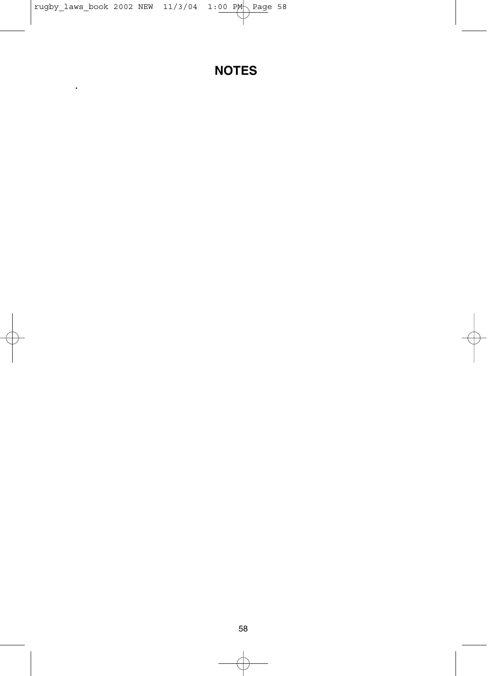# **NOTES**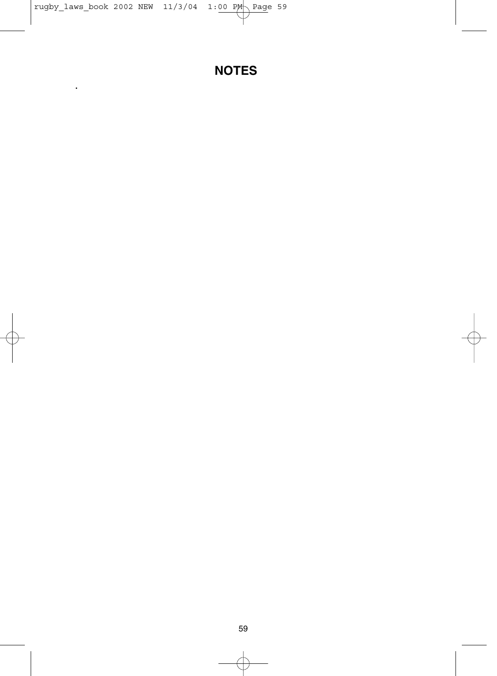# **NOTES**